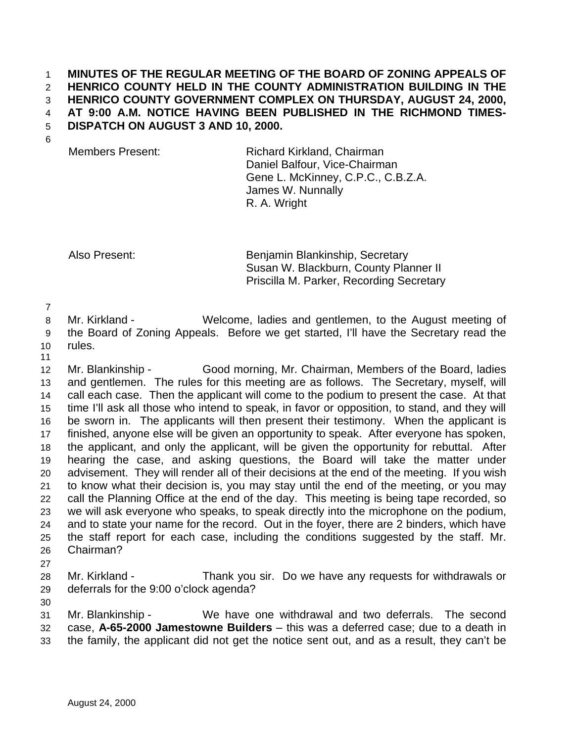## **MINUTES OF THE REGULAR MEETING OF THE BOARD OF ZONING APPEALS OF HENRICO COUNTY HELD IN THE COUNTY ADMINISTRATION BUILDING IN THE HENRICO COUNTY GOVERNMENT COMPLEX ON THURSDAY, AUGUST 24, 2000, AT 9:00 A.M. NOTICE HAVING BEEN PUBLISHED IN THE RICHMOND TIMES-DISPATCH ON AUGUST 3 AND 10, 2000.**

Members Present: Richard Kirkland, Chairman Daniel Balfour, Vice-Chairman Gene L. McKinney, C.P.C., C.B.Z.A. James W. Nunnally R. A. Wright

Also Present: Benjamin Blankinship, Secretary Susan W. Blackburn, County Planner II Priscilla M. Parker, Recording Secretary

 Mr. Kirkland - Welcome, ladies and gentlemen, to the August meeting of the Board of Zoning Appeals. Before we get started, I'll have the Secretary read the

 rules. 

 Mr. Blankinship - Good morning, Mr. Chairman, Members of the Board, ladies and gentlemen. The rules for this meeting are as follows. The Secretary, myself, will call each case. Then the applicant will come to the podium to present the case. At that time I'll ask all those who intend to speak, in favor or opposition, to stand, and they will be sworn in. The applicants will then present their testimony. When the applicant is finished, anyone else will be given an opportunity to speak. After everyone has spoken, the applicant, and only the applicant, will be given the opportunity for rebuttal. After hearing the case, and asking questions, the Board will take the matter under advisement. They will render all of their decisions at the end of the meeting. If you wish to know what their decision is, you may stay until the end of the meeting, or you may call the Planning Office at the end of the day. This meeting is being tape recorded, so we will ask everyone who speaks, to speak directly into the microphone on the podium, and to state your name for the record. Out in the foyer, there are 2 binders, which have the staff report for each case, including the conditions suggested by the staff. Mr. Chairman?

 Mr. Kirkland - Thank you sir. Do we have any requests for withdrawals or deferrals for the 9:00 o'clock agenda?

 Mr. Blankinship - We have one withdrawal and two deferrals. The second case, **A-65-2000 Jamestowne Builders** – this was a deferred case; due to a death in the family, the applicant did not get the notice sent out, and as a result, they can't be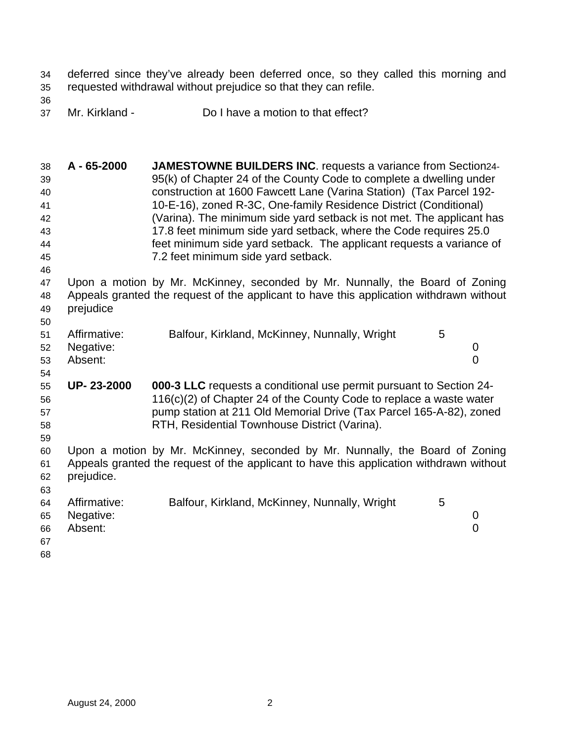deferred since they've already been deferred once, so they called this morning and requested withdrawal without prejudice so that they can refile.

Mr. Kirkland - Do I have a motion to that effect?

 **A - 65-2000 JAMESTOWNE BUILDERS INC**. requests a variance from Section24- 95(k) of Chapter 24 of the County Code to complete a dwelling under construction at 1600 Fawcett Lane (Varina Station) (Tax Parcel 192- 10-E-16), zoned R-3C, One-family Residence District (Conditional) (Varina). The minimum side yard setback is not met. The applicant has 17.8 feet minimum side yard setback, where the Code requires 25.0 feet minimum side yard setback. The applicant requests a variance of 7.2 feet minimum side yard setback.

 Upon a motion by Mr. McKinney, seconded by Mr. Nunnally, the Board of Zoning Appeals granted the request of the applicant to have this application withdrawn without prejudice

|    | 51 Affirmative: | Balfour, Kirkland, McKinney, Nunnally, Wright |  |
|----|-----------------|-----------------------------------------------|--|
|    | 52 Negative:    |                                               |  |
|    | 53 Absent:      |                                               |  |
| 54 |                 |                                               |  |

 **UP- 23-2000 000-3 LLC** requests a conditional use permit pursuant to Section 24- 116(c)(2) of Chapter 24 of the County Code to replace a waste water pump station at 211 Old Memorial Drive (Tax Parcel 165-A-82), zoned RTH, Residential Townhouse District (Varina).

 Upon a motion by Mr. McKinney, seconded by Mr. Nunnally, the Board of Zoning Appeals granted the request of the applicant to have this application withdrawn without prejudice. 

| 64 | Affirmative: | Balfour, Kirkland, McKinney, Nunnally, Wright |  |
|----|--------------|-----------------------------------------------|--|
| 65 | Negative:    |                                               |  |
| 66 | Absent:      |                                               |  |
| 67 |              |                                               |  |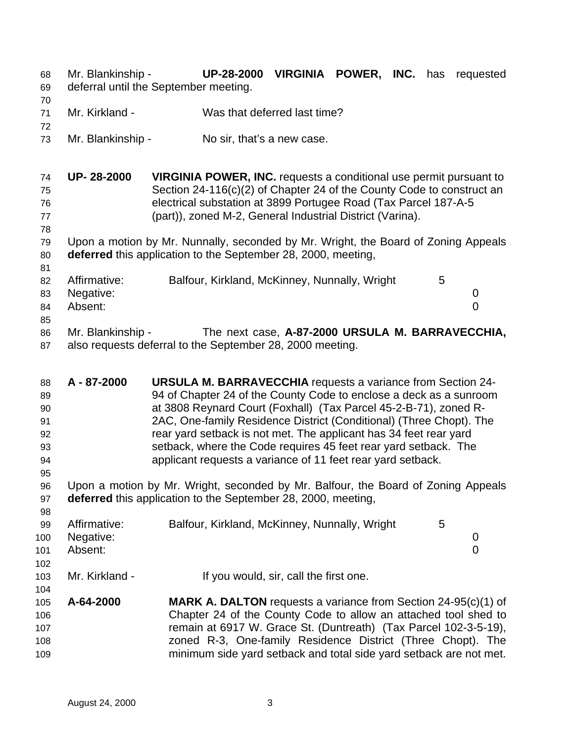- Mr. Blankinship **UP-28-2000 VIRGINIA POWER, INC.** has requested deferral until the September meeting.
- Mr. Kirkland Was that deferred last time?
- Mr. Blankinship No sir, that's a new case.

- **UP- 28-2000 VIRGINIA POWER, INC.** requests a conditional use permit pursuant to Section 24-116(c)(2) of Chapter 24 of the County Code to construct an electrical substation at 3899 Portugee Road (Tax Parcel 187-A-5 (part)), zoned M-2, General Industrial District (Varina).
- Upon a motion by Mr. Nunnally, seconded by Mr. Wright, the Board of Zoning Appeals **deferred** this application to the September 28, 2000, meeting,

| 82 | Affirmative: | Balfour, Kirkland, McKinney, Nunnally, Wright | 5 |  |
|----|--------------|-----------------------------------------------|---|--|
|    | 83 Negative: |                                               |   |  |
| 84 | Absent:      |                                               |   |  |
| 85 |              |                                               |   |  |

- Mr. Blankinship The next case, **A-87-2000 URSULA M. BARRAVECCHIA,** also requests deferral to the September 28, 2000 meeting.
- **A 87-2000 URSULA M. BARRAVECCHIA** requests a variance from Section 24- 94 of Chapter 24 of the County Code to enclose a deck as a sunroom at 3808 Reynard Court (Foxhall) (Tax Parcel 45-2-B-71), zoned R- 2AC, One-family Residence District (Conditional) (Three Chopt). The rear yard setback is not met. The applicant has 34 feet rear yard setback, where the Code requires 45 feet rear yard setback. The applicant requests a variance of 11 feet rear yard setback. Upon a motion by Mr. Wright, seconded by Mr. Balfour, the Board of Zoning Appeals **deferred** this application to the September 28, 2000, meeting, 99 Affirmative: Balfour, Kirkland, McKinney, Nunnally, Wright 5 Negative: 0 Absent: 0 Mr. Kirkland - If you would, sir, call the first one. **A-64-2000 MARK A. DALTON** requests a variance from Section 24-95(c)(1) of Chapter 24 of the County Code to allow an attached tool shed to remain at 6917 W. Grace St. (Duntreath) (Tax Parcel 102-3-5-19), zoned R-3, One-family Residence District (Three Chopt). The minimum side yard setback and total side yard setback are not met.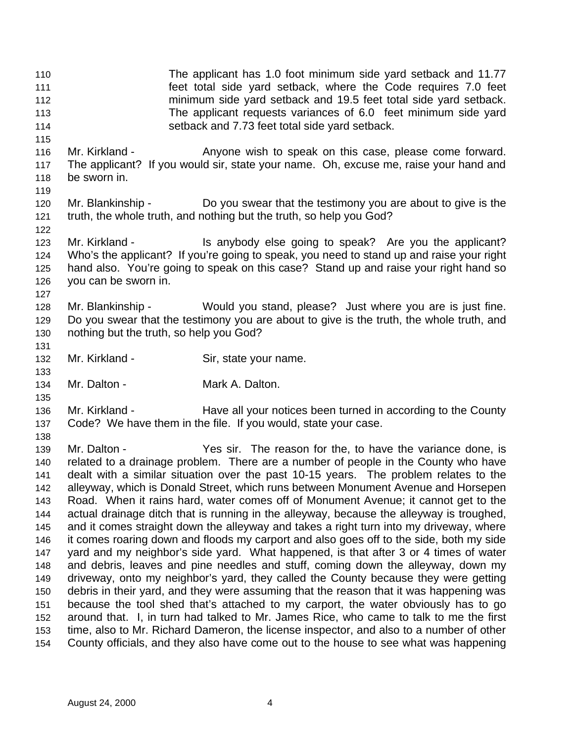setback and 7.73 feet total side yard setback. 116 Mr. Kirkland - Anyone wish to speak on this case, please come forward. The applicant? If you would sir, state your name. Oh, excuse me, raise your hand and be sworn in. Mr. Blankinship - Do you swear that the testimony you are about to give is the truth, the whole truth, and nothing but the truth, so help you God? 123 Mr. Kirkland - Is anybody else going to speak? Are you the applicant? Who's the applicant? If you're going to speak, you need to stand up and raise your right hand also. You're going to speak on this case? Stand up and raise your right hand so you can be sworn in. Mr. Blankinship - Would you stand, please? Just where you are is just fine. Do you swear that the testimony you are about to give is the truth, the whole truth, and nothing but the truth, so help you God? 132 Mr. Kirkland - Sir, state your name. 134 Mr. Dalton - Mark A. Dalton. Mr. Kirkland - Have all your notices been turned in according to the County Code? We have them in the file. If you would, state your case. Mr. Dalton - Yes sir. The reason for the, to have the variance done, is related to a drainage problem. There are a number of people in the County who have dealt with a similar situation over the past 10-15 years. The problem relates to the alleyway, which is Donald Street, which runs between Monument Avenue and Horsepen Road. When it rains hard, water comes off of Monument Avenue; it cannot get to the actual drainage ditch that is running in the alleyway, because the alleyway is troughed, and it comes straight down the alleyway and takes a right turn into my driveway, where it comes roaring down and floods my carport and also goes off to the side, both my side yard and my neighbor's side yard. What happened, is that after 3 or 4 times of water and debris, leaves and pine needles and stuff, coming down the alleyway, down my driveway, onto my neighbor's yard, they called the County because they were getting debris in their yard, and they were assuming that the reason that it was happening was

 The applicant has 1.0 foot minimum side yard setback and 11.77 feet total side yard setback, where the Code requires 7.0 feet minimum side yard setback and 19.5 feet total side yard setback. The applicant requests variances of 6.0 feet minimum side yard

 around that. I, in turn had talked to Mr. James Rice, who came to talk to me the first time, also to Mr. Richard Dameron, the license inspector, and also to a number of other County officials, and they also have come out to the house to see what was happening

because the tool shed that's attached to my carport, the water obviously has to go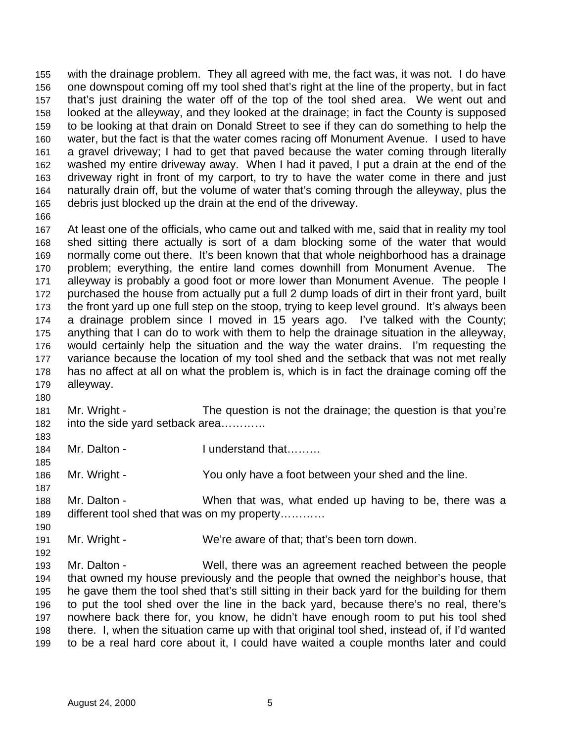with the drainage problem. They all agreed with me, the fact was, it was not. I do have one downspout coming off my tool shed that's right at the line of the property, but in fact that's just draining the water off of the top of the tool shed area. We went out and looked at the alleyway, and they looked at the drainage; in fact the County is supposed to be looking at that drain on Donald Street to see if they can do something to help the water, but the fact is that the water comes racing off Monument Avenue. I used to have a gravel driveway; I had to get that paved because the water coming through literally washed my entire driveway away. When I had it paved, I put a drain at the end of the driveway right in front of my carport, to try to have the water come in there and just naturally drain off, but the volume of water that's coming through the alleyway, plus the debris just blocked up the drain at the end of the driveway.

 At least one of the officials, who came out and talked with me, said that in reality my tool shed sitting there actually is sort of a dam blocking some of the water that would normally come out there. It's been known that that whole neighborhood has a drainage problem; everything, the entire land comes downhill from Monument Avenue. The alleyway is probably a good foot or more lower than Monument Avenue. The people I purchased the house from actually put a full 2 dump loads of dirt in their front yard, built the front yard up one full step on the stoop, trying to keep level ground. It's always been a drainage problem since I moved in 15 years ago. I've talked with the County; anything that I can do to work with them to help the drainage situation in the alleyway, would certainly help the situation and the way the water drains. I'm requesting the variance because the location of my tool shed and the setback that was not met really has no affect at all on what the problem is, which is in fact the drainage coming off the alleyway.

- Mr. Wright The question is not the drainage; the question is that you're 182 into the side yard setback area...........
- 184 Mr. Dalton I understand that………

Mr. Wright - You only have a foot between your shed and the line.

- Mr. Dalton - When that was, what ended up having to be, there was a different tool shed that was on my property…………
- Mr. Wright We're aware of that; that's been torn down.

 Mr. Dalton - Well, there was an agreement reached between the people that owned my house previously and the people that owned the neighbor's house, that he gave them the tool shed that's still sitting in their back yard for the building for them to put the tool shed over the line in the back yard, because there's no real, there's nowhere back there for, you know, he didn't have enough room to put his tool shed there. I, when the situation came up with that original tool shed, instead of, if I'd wanted to be a real hard core about it, I could have waited a couple months later and could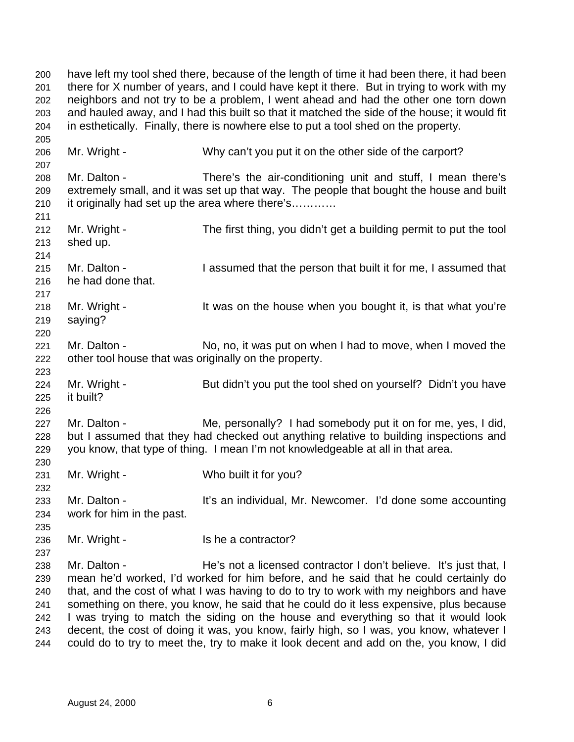have left my tool shed there, because of the length of time it had been there, it had been there for X number of years, and I could have kept it there. But in trying to work with my neighbors and not try to be a problem, I went ahead and had the other one torn down and hauled away, and I had this built so that it matched the side of the house; it would fit in esthetically. Finally, there is nowhere else to put a tool shed on the property. Mr. Wright - Why can't you put it on the other side of the carport? Mr. Dalton - There's the air-conditioning unit and stuff, I mean there's extremely small, and it was set up that way. The people that bought the house and built it originally had set up the area where there's………… Mr. Wright - The first thing, you didn't get a building permit to put the tool shed up. Mr. Dalton - I assumed that the person that built it for me, I assumed that he had done that. 218 Mr. Wright - It was on the house when you bought it, is that what you're saying? 221 Mr. Dalton - No, no, it was put on when I had to move, when I moved the other tool house that was originally on the property. 224 Mr. Wright - But didn't you put the tool shed on yourself? Didn't you have it built? 227 Mr. Dalton - Me, personally? I had somebody put it on for me, yes, I did, but I assumed that they had checked out anything relative to building inspections and you know, that type of thing. I mean I'm not knowledgeable at all in that area. Mr. Wright - Who built it for you? 233 Mr. Dalton - It's an individual, Mr. Newcomer. I'd done some accounting work for him in the past. 236 Mr. Wright - Is he a contractor? Mr. Dalton - He's not a licensed contractor I don't believe. It's just that, I mean he'd worked, I'd worked for him before, and he said that he could certainly do that, and the cost of what I was having to do to try to work with my neighbors and have something on there, you know, he said that he could do it less expensive, plus because I was trying to match the siding on the house and everything so that it would look decent, the cost of doing it was, you know, fairly high, so I was, you know, whatever I could do to try to meet the, try to make it look decent and add on the, you know, I did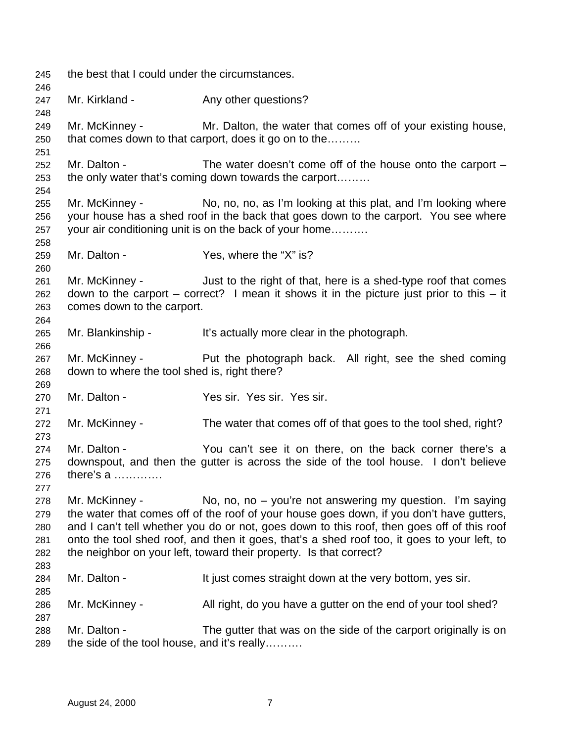the best that I could under the circumstances. 247 Mr. Kirkland - Any other questions? Mr. McKinney - Mr. Dalton, the water that comes off of your existing house, that comes down to that carport, does it go on to the……… Mr. Dalton - The water doesn't come off of the house onto the carport – the only water that's coming down towards the carport……… Mr. McKinney - No, no, no, as I'm looking at this plat, and I'm looking where your house has a shed roof in the back that goes down to the carport. You see where your air conditioning unit is on the back of your home………. Mr. Dalton - Yes, where the "X" is? Mr. McKinney - Just to the right of that, here is a shed-type roof that comes down to the carport – correct? I mean it shows it in the picture just prior to this – it comes down to the carport. Mr. Blankinship - It's actually more clear in the photograph. 267 Mr. McKinney - Put the photograph back. All right, see the shed coming down to where the tool shed is, right there? Mr. Dalton - Yes sir. Yes sir. Yes sir. Mr. McKinney - The water that comes off of that goes to the tool shed, right? Mr. Dalton - You can't see it on there, on the back corner there's a downspout, and then the gutter is across the side of the tool house. I don't believe there's a …………. Mr. McKinney - No, no, no – you're not answering my question. I'm saying the water that comes off of the roof of your house goes down, if you don't have gutters, and I can't tell whether you do or not, goes down to this roof, then goes off of this roof onto the tool shed roof, and then it goes, that's a shed roof too, it goes to your left, to the neighbor on your left, toward their property. Is that correct? 284 Mr. Dalton - It just comes straight down at the very bottom, yes sir. Mr. McKinney - All right, do you have a gutter on the end of your tool shed? Mr. Dalton - The gutter that was on the side of the carport originally is on the side of the tool house, and it's really……….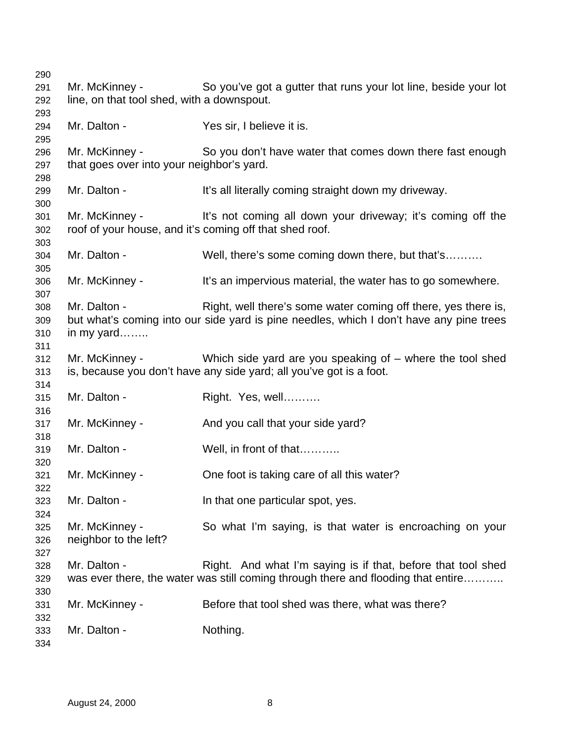| 290                      |                                                                           |                                                                                                                                                           |
|--------------------------|---------------------------------------------------------------------------|-----------------------------------------------------------------------------------------------------------------------------------------------------------|
| 291<br>292               | Mr. McKinney -<br>line, on that tool shed, with a downspout.              | So you've got a gutter that runs your lot line, beside your lot                                                                                           |
| 293<br>294<br>295        | Mr. Dalton -                                                              | Yes sir, I believe it is.                                                                                                                                 |
| 296<br>297               | Mr. McKinney -<br>that goes over into your neighbor's yard.               | So you don't have water that comes down there fast enough                                                                                                 |
| 298<br>299<br>300        | Mr. Dalton -                                                              | It's all literally coming straight down my driveway.                                                                                                      |
| 301<br>302<br>303        | Mr. McKinney -<br>roof of your house, and it's coming off that shed roof. | It's not coming all down your driveway; it's coming off the                                                                                               |
| 304<br>305               | Mr. Dalton -                                                              | Well, there's some coming down there, but that's                                                                                                          |
| 306<br>307               | Mr. McKinney -                                                            | It's an impervious material, the water has to go somewhere.                                                                                               |
| 308<br>309<br>310<br>311 | Mr. Dalton -<br>in my yard                                                | Right, well there's some water coming off there, yes there is,<br>but what's coming into our side yard is pine needles, which I don't have any pine trees |
| 312<br>313               | Mr. McKinney -                                                            | Which side yard are you speaking of $-$ where the tool shed<br>is, because you don't have any side yard; all you've got is a foot.                        |
| 314<br>315<br>316        | Mr. Dalton -                                                              | Right. Yes, well                                                                                                                                          |
| 317<br>318               | Mr. McKinney -                                                            | And you call that your side yard?                                                                                                                         |
| 319<br>320               | Mr. Dalton -                                                              | Well, in front of that                                                                                                                                    |
| 321<br>322               | Mr. McKinney -                                                            | One foot is taking care of all this water?                                                                                                                |
| 323<br>324               | Mr. Dalton -                                                              | In that one particular spot, yes.                                                                                                                         |
| 325<br>326<br>327        | Mr. McKinney -<br>neighbor to the left?                                   | So what I'm saying, is that water is encroaching on your                                                                                                  |
| 328<br>329               | Mr. Dalton -                                                              | Right. And what I'm saying is if that, before that tool shed<br>was ever there, the water was still coming through there and flooding that entire         |
| 330<br>331<br>332        | Mr. McKinney -                                                            | Before that tool shed was there, what was there?                                                                                                          |
| 333<br>334               | Mr. Dalton -                                                              | Nothing.                                                                                                                                                  |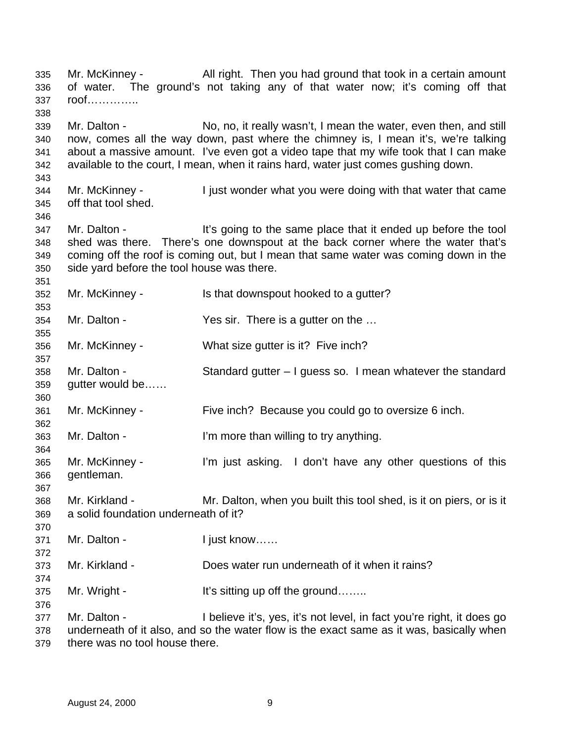Mr. McKinney - All right. Then you had ground that took in a certain amount of water. The ground's not taking any of that water now; it's coming off that roof………….. Mr. Dalton - No, no, it really wasn't, I mean the water, even then, and still now, comes all the way down, past where the chimney is, I mean it's, we're talking about a massive amount. I've even got a video tape that my wife took that I can make available to the court, I mean, when it rains hard, water just comes gushing down. Mr. McKinney - I just wonder what you were doing with that water that came off that tool shed. 347 Mr. Dalton - It's going to the same place that it ended up before the tool shed was there. There's one downspout at the back corner where the water that's coming off the roof is coming out, but I mean that same water was coming down in the side yard before the tool house was there. Mr. McKinney - Is that downspout hooked to a gutter? Mr. Dalton - Yes sir. There is a gutter on the … Mr. McKinney - What size gutter is it? Five inch? Mr. Dalton - Standard gutter – I guess so. I mean whatever the standard gutter would be…… Mr. McKinney - Five inch? Because you could go to oversize 6 inch. Mr. Dalton - I'm more than willing to try anything. Mr. McKinney - I'm just asking. I don't have any other questions of this gentleman. Mr. Kirkland - Mr. Dalton, when you built this tool shed, is it on piers, or is it a solid foundation underneath of it? 371 Mr. Dalton - I just know...... Mr. Kirkland - Does water run underneath of it when it rains? 375 Mr. Wright - It's sitting up off the ground……. Mr. Dalton - I believe it's, yes, it's not level, in fact you're right, it does go underneath of it also, and so the water flow is the exact same as it was, basically when

there was no tool house there.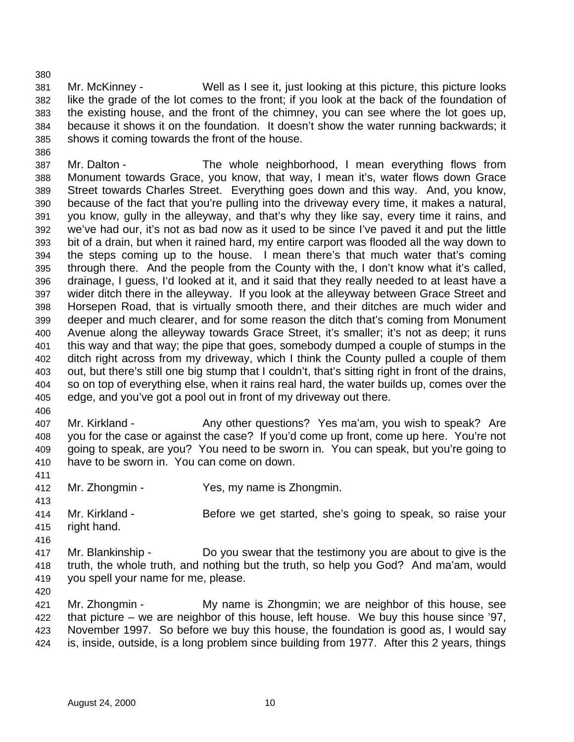Mr. McKinney - Well as I see it, just looking at this picture, this picture looks like the grade of the lot comes to the front; if you look at the back of the foundation of the existing house, and the front of the chimney, you can see where the lot goes up, because it shows it on the foundation. It doesn't show the water running backwards; it shows it coming towards the front of the house.

 Mr. Dalton - The whole neighborhood, I mean everything flows from Monument towards Grace, you know, that way, I mean it's, water flows down Grace Street towards Charles Street. Everything goes down and this way. And, you know, because of the fact that you're pulling into the driveway every time, it makes a natural, you know, gully in the alleyway, and that's why they like say, every time it rains, and we've had our, it's not as bad now as it used to be since I've paved it and put the little bit of a drain, but when it rained hard, my entire carport was flooded all the way down to the steps coming up to the house. I mean there's that much water that's coming through there. And the people from the County with the, I don't know what it's called, drainage, I guess, I'd looked at it, and it said that they really needed to at least have a wider ditch there in the alleyway. If you look at the alleyway between Grace Street and Horsepen Road, that is virtually smooth there, and their ditches are much wider and deeper and much clearer, and for some reason the ditch that's coming from Monument Avenue along the alleyway towards Grace Street, it's smaller; it's not as deep; it runs this way and that way; the pipe that goes, somebody dumped a couple of stumps in the ditch right across from my driveway, which I think the County pulled a couple of them out, but there's still one big stump that I couldn't, that's sitting right in front of the drains, so on top of everything else, when it rains real hard, the water builds up, comes over the edge, and you've got a pool out in front of my driveway out there.

407 Mr. Kirkland - Any other questions? Yes ma'am, you wish to speak? Are you for the case or against the case? If you'd come up front, come up here. You're not going to speak, are you? You need to be sworn in. You can speak, but you're going to have to be sworn in. You can come on down.

Mr. Zhongmin - Yes, my name is Zhongmin.

 Mr. Kirkland - Before we get started, she's going to speak, so raise your right hand.

 Mr. Blankinship - Do you swear that the testimony you are about to give is the truth, the whole truth, and nothing but the truth, so help you God? And ma'am, would you spell your name for me, please.

 Mr. Zhongmin - My name is Zhongmin; we are neighbor of this house, see that picture – we are neighbor of this house, left house. We buy this house since '97, November 1997. So before we buy this house, the foundation is good as, I would say is, inside, outside, is a long problem since building from 1977. After this 2 years, things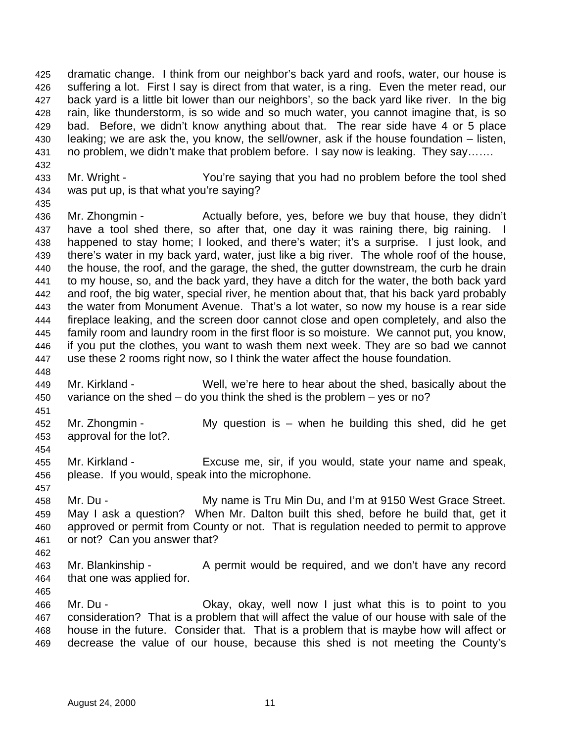dramatic change. I think from our neighbor's back yard and roofs, water, our house is suffering a lot. First I say is direct from that water, is a ring. Even the meter read, our back yard is a little bit lower than our neighbors', so the back yard like river. In the big rain, like thunderstorm, is so wide and so much water, you cannot imagine that, is so bad. Before, we didn't know anything about that. The rear side have 4 or 5 place leaking; we are ask the, you know, the sell/owner, ask if the house foundation – listen, no problem, we didn't make that problem before. I say now is leaking. They say…….

 Mr. Wright - You're saying that you had no problem before the tool shed was put up, is that what you're saying?

 Mr. Zhongmin - Actually before, yes, before we buy that house, they didn't have a tool shed there, so after that, one day it was raining there, big raining. I happened to stay home; I looked, and there's water; it's a surprise. I just look, and there's water in my back yard, water, just like a big river. The whole roof of the house, the house, the roof, and the garage, the shed, the gutter downstream, the curb he drain to my house, so, and the back yard, they have a ditch for the water, the both back yard and roof, the big water, special river, he mention about that, that his back yard probably the water from Monument Avenue. That's a lot water, so now my house is a rear side fireplace leaking, and the screen door cannot close and open completely, and also the family room and laundry room in the first floor is so moisture. We cannot put, you know, if you put the clothes, you want to wash them next week. They are so bad we cannot use these 2 rooms right now, so I think the water affect the house foundation.

 Mr. Kirkland - Well, we're here to hear about the shed, basically about the variance on the shed – do you think the shed is the problem – yes or no?

 Mr. Zhongmin - My question is – when he building this shed, did he get approval for the lot?. 

 Mr. Kirkland - Excuse me, sir, if you would, state your name and speak, please. If you would, speak into the microphone.

- 458 Mr. Du - **My name is Tru Min Du, and I'm at 9150 West Grace Street.**
- May I ask a question? When Mr. Dalton built this shed, before he build that, get it approved or permit from County or not. That is regulation needed to permit to approve or not? Can you answer that?
- Mr. Blankinship A permit would be required, and we don't have any record that one was applied for.
- 

 Mr. Du - Okay, okay, well now I just what this is to point to you consideration? That is a problem that will affect the value of our house with sale of the house in the future. Consider that. That is a problem that is maybe how will affect or decrease the value of our house, because this shed is not meeting the County's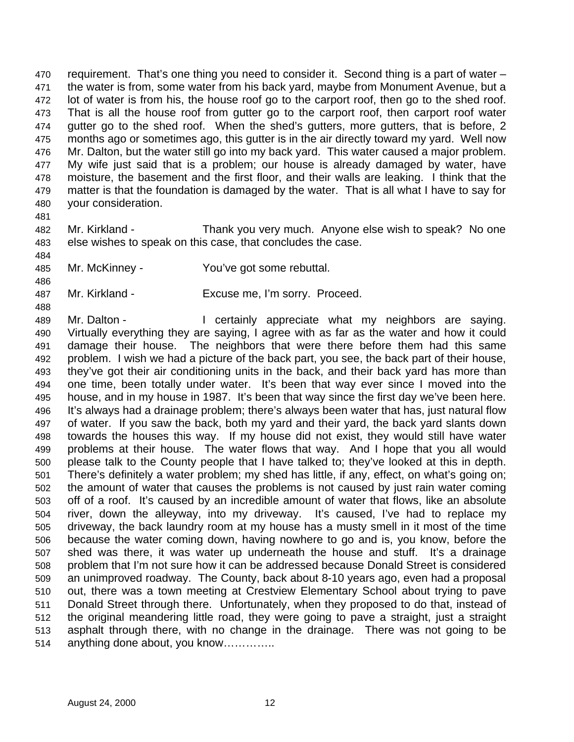requirement. That's one thing you need to consider it. Second thing is a part of water – the water is from, some water from his back yard, maybe from Monument Avenue, but a lot of water is from his, the house roof go to the carport roof, then go to the shed roof. That is all the house roof from gutter go to the carport roof, then carport roof water gutter go to the shed roof. When the shed's gutters, more gutters, that is before, 2 months ago or sometimes ago, this gutter is in the air directly toward my yard. Well now Mr. Dalton, but the water still go into my back yard. This water caused a major problem. My wife just said that is a problem; our house is already damaged by water, have moisture, the basement and the first floor, and their walls are leaking. I think that the 479 matter is that the foundation is damaged by the water. That is all what I have to say for your consideration.

 Mr. Kirkland - Thank you very much. Anyone else wish to speak? No one else wishes to speak on this case, that concludes the case.

- Mr. McKinney You've got some rebuttal.
- Mr. Kirkland Excuse me, I'm sorry. Proceed.

489 Mr. Dalton - I certainly appreciate what my neighbors are saying. Virtually everything they are saying, I agree with as far as the water and how it could damage their house. The neighbors that were there before them had this same problem. I wish we had a picture of the back part, you see, the back part of their house, they've got their air conditioning units in the back, and their back yard has more than one time, been totally under water. It's been that way ever since I moved into the house, and in my house in 1987. It's been that way since the first day we've been here. It's always had a drainage problem; there's always been water that has, just natural flow of water. If you saw the back, both my yard and their yard, the back yard slants down towards the houses this way. If my house did not exist, they would still have water problems at their house. The water flows that way. And I hope that you all would please talk to the County people that I have talked to; they've looked at this in depth. There's definitely a water problem; my shed has little, if any, effect, on what's going on; the amount of water that causes the problems is not caused by just rain water coming off of a roof. It's caused by an incredible amount of water that flows, like an absolute river, down the alleyway, into my driveway. It's caused, I've had to replace my driveway, the back laundry room at my house has a musty smell in it most of the time because the water coming down, having nowhere to go and is, you know, before the shed was there, it was water up underneath the house and stuff. It's a drainage problem that I'm not sure how it can be addressed because Donald Street is considered an unimproved roadway. The County, back about 8-10 years ago, even had a proposal out, there was a town meeting at Crestview Elementary School about trying to pave Donald Street through there. Unfortunately, when they proposed to do that, instead of the original meandering little road, they were going to pave a straight, just a straight asphalt through there, with no change in the drainage. There was not going to be anything done about, you know…………..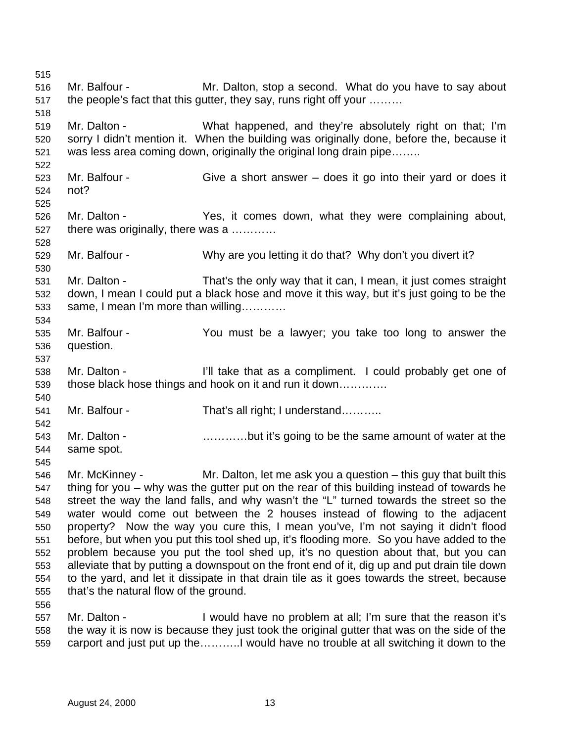Mr. Balfour - Mr. Dalton, stop a second. What do you have to say about the people's fact that this gutter, they say, runs right off your ……… Mr. Dalton - What happened, and they're absolutely right on that; I'm sorry I didn't mention it. When the building was originally done, before the, because it was less area coming down, originally the original long drain pipe…….. Mr. Balfour - Give a short answer – does it go into their yard or does it not? Mr. Dalton - Yes, it comes down, what they were complaining about, there was originally, there was a ………… Mr. Balfour - Why are you letting it do that? Why don't you divert it? Mr. Dalton - That's the only way that it can, I mean, it just comes straight down, I mean I could put a black hose and move it this way, but it's just going to be the same, I mean I'm more than willing………… Mr. Balfour - You must be a lawyer; you take too long to answer the question. Mr. Dalton - I'll take that as a compliment. I could probably get one of those black hose things and hook on it and run it down…………. Mr. Balfour - That's all right; I understand……….. 543 Mr. Dalton - **Example 2.1 matube 1.1 matube 1.1 matube 1.1 matube 1.1 matube 1.1 matube 1.1 matube 1.1 matu**  same spot. Mr. McKinney - Mr. Dalton, let me ask you a question – this guy that built this thing for you – why was the gutter put on the rear of this building instead of towards he street the way the land falls, and why wasn't the "L" turned towards the street so the water would come out between the 2 houses instead of flowing to the adjacent property? Now the way you cure this, I mean you've, I'm not saying it didn't flood before, but when you put this tool shed up, it's flooding more. So you have added to the problem because you put the tool shed up, it's no question about that, but you can alleviate that by putting a downspout on the front end of it, dig up and put drain tile down to the yard, and let it dissipate in that drain tile as it goes towards the street, because that's the natural flow of the ground. Mr. Dalton - I would have no problem at all; I'm sure that the reason it's the way it is now is because they just took the original gutter that was on the side of the carport and just put up the………..I would have no trouble at all switching it down to the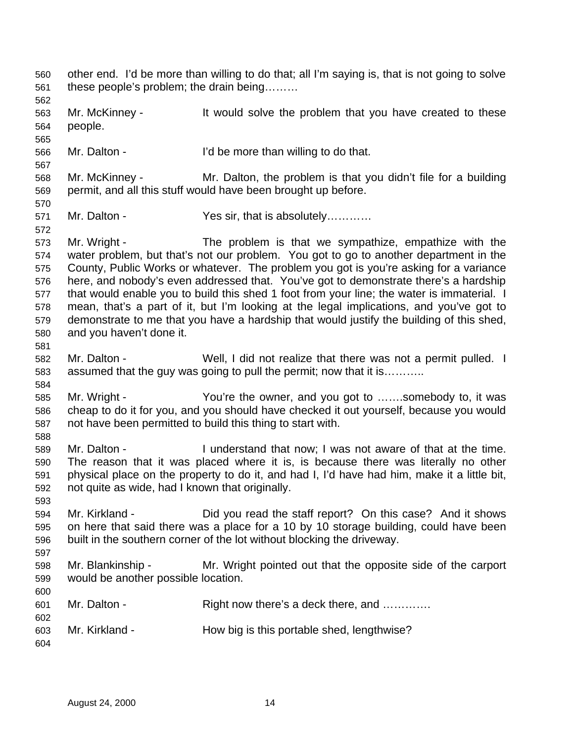other end. I'd be more than willing to do that; all I'm saying is, that is not going to solve these people's problem; the drain being……… Mr. McKinney - It would solve the problem that you have created to these people. Mr. Dalton - I'd be more than willing to do that. Mr. McKinney - Mr. Dalton, the problem is that you didn't file for a building permit, and all this stuff would have been brought up before. 571 Mr. Dalton - Yes sir, that is absolutely………… Mr. Wright - The problem is that we sympathize, empathize with the water problem, but that's not our problem. You got to go to another department in the County, Public Works or whatever. The problem you got is you're asking for a variance here, and nobody's even addressed that. You've got to demonstrate there's a hardship 577 that would enable you to build this shed 1 foot from your line; the water is immaterial. I mean, that's a part of it, but I'm looking at the legal implications, and you've got to demonstrate to me that you have a hardship that would justify the building of this shed, and you haven't done it. Mr. Dalton - Well, I did not realize that there was not a permit pulled. I assumed that the guy was going to pull the permit; now that it is……….. Mr. Wright - You're the owner, and you got to …….somebody to, it was cheap to do it for you, and you should have checked it out yourself, because you would not have been permitted to build this thing to start with. Mr. Dalton - I understand that now; I was not aware of that at the time. The reason that it was placed where it is, is because there was literally no other physical place on the property to do it, and had I, I'd have had him, make it a little bit, not quite as wide, had I known that originally. Mr. Kirkland - Did you read the staff report? On this case? And it shows on here that said there was a place for a 10 by 10 storage building, could have been built in the southern corner of the lot without blocking the driveway. Mr. Blankinship - Mr. Wright pointed out that the opposite side of the carport would be another possible location. Mr. Dalton - Right now there's a deck there, and …………. Mr. Kirkland - How big is this portable shed, lengthwise?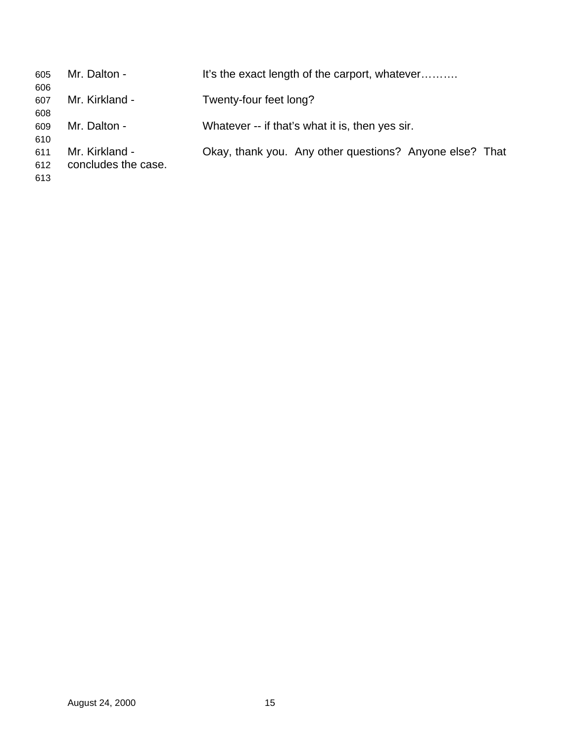| 605<br>606        | Mr. Dalton -                          | It's the exact length of the carport, whatever          |
|-------------------|---------------------------------------|---------------------------------------------------------|
| 607<br>608        | Mr. Kirkland -                        | Twenty-four feet long?                                  |
| 609<br>610        | Mr. Dalton -                          | Whatever -- if that's what it is, then yes sir.         |
| 611<br>612<br>613 | Mr. Kirkland -<br>concludes the case. | Okay, thank you. Any other questions? Anyone else? That |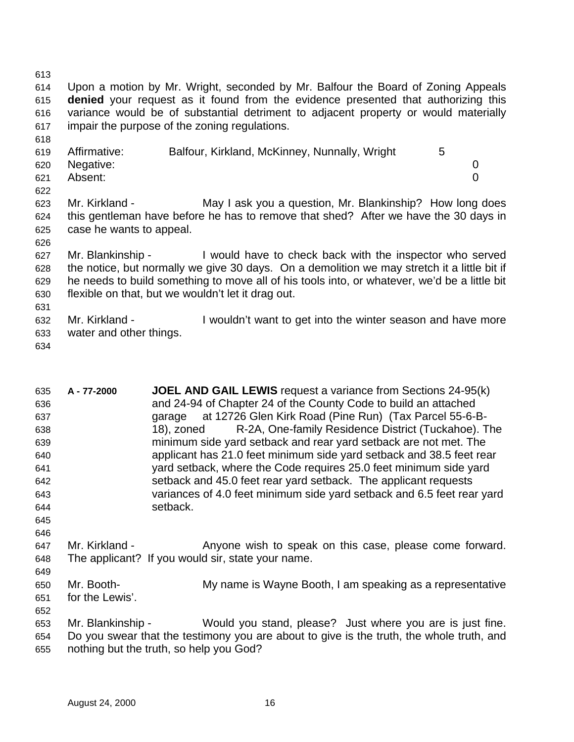Upon a motion by Mr. Wright, seconded by Mr. Balfour the Board of Zoning Appeals **denied** your request as it found from the evidence presented that authorizing this variance would be of substantial detriment to adjacent property or would materially impair the purpose of the zoning regulations.

| 619 | Affirmative: | Balfour, Kirkland, McKinney, Nunnally, Wright |  |
|-----|--------------|-----------------------------------------------|--|
| 620 | Negative:    |                                               |  |
| 621 | Absent:      |                                               |  |
| 622 |              |                                               |  |

 Mr. Kirkland - May I ask you a question, Mr. Blankinship? How long does this gentleman have before he has to remove that shed? After we have the 30 days in case he wants to appeal.

 Mr. Blankinship - I would have to check back with the inspector who served the notice, but normally we give 30 days. On a demolition we may stretch it a little bit if he needs to build something to move all of his tools into, or whatever, we'd be a little bit flexible on that, but we wouldn't let it drag out.

 Mr. Kirkland - I wouldn't want to get into the winter season and have more water and other things.

| 635 | A-77-2000         | <b>JOEL AND GAIL LEWIS</b> request a variance from Sections 24-95(k)                     |
|-----|-------------------|------------------------------------------------------------------------------------------|
| 636 |                   | and 24-94 of Chapter 24 of the County Code to build an attached                          |
| 637 |                   | garage at 12726 Glen Kirk Road (Pine Run) (Tax Parcel 55-6-B-                            |
| 638 |                   | R-2A, One-family Residence District (Tuckahoe). The<br>18), zoned                        |
| 639 |                   | minimum side yard setback and rear yard setback are not met. The                         |
| 640 |                   | applicant has 21.0 feet minimum side yard setback and 38.5 feet rear                     |
| 641 |                   | yard setback, where the Code requires 25.0 feet minimum side yard                        |
| 642 |                   | setback and 45.0 feet rear yard setback. The applicant requests                          |
| 643 |                   | variances of 4.0 feet minimum side yard setback and 6.5 feet rear yard                   |
| 644 |                   | setback.                                                                                 |
| 645 |                   |                                                                                          |
| 646 |                   |                                                                                          |
| 647 | Mr. Kirkland -    | Anyone wish to speak on this case, please come forward.                                  |
| 648 |                   | The applicant? If you would sir, state your name.                                        |
| 649 |                   |                                                                                          |
| 650 | Mr. Booth-        | My name is Wayne Booth, I am speaking as a representative                                |
| 651 | for the Lewis'.   |                                                                                          |
| 652 |                   |                                                                                          |
| 653 | Mr. Blankinship - | Would you stand, please? Just where you are is just fine.                                |
| 654 |                   | Do you swear that the testimony you are about to give is the truth, the whole truth, and |

nothing but the truth, so help you God?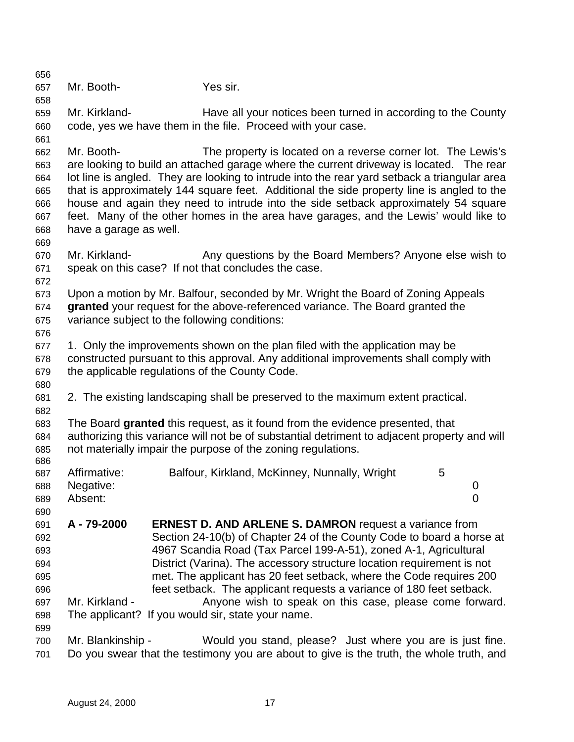| 656        |                        |                                                                                              |   |             |
|------------|------------------------|----------------------------------------------------------------------------------------------|---|-------------|
| 657        | Mr. Booth-             | Yes sir.                                                                                     |   |             |
| 658        |                        |                                                                                              |   |             |
| 659        | Mr. Kirkland-          | Have all your notices been turned in according to the County                                 |   |             |
| 660        |                        | code, yes we have them in the file. Proceed with your case.                                  |   |             |
| 661        |                        |                                                                                              |   |             |
| 662        | Mr. Booth-             | The property is located on a reverse corner lot. The Lewis's                                 |   |             |
| 663        |                        | are looking to build an attached garage where the current driveway is located. The rear      |   |             |
| 664        |                        | lot line is angled. They are looking to intrude into the rear yard setback a triangular area |   |             |
| 665        |                        | that is approximately 144 square feet. Additional the side property line is angled to the    |   |             |
| 666        |                        | house and again they need to intrude into the side setback approximately 54 square           |   |             |
| 667        |                        | feet. Many of the other homes in the area have garages, and the Lewis' would like to         |   |             |
| 668        | have a garage as well. |                                                                                              |   |             |
| 669        |                        |                                                                                              |   |             |
| 670        | Mr. Kirkland-          | Any questions by the Board Members? Anyone else wish to                                      |   |             |
| 671        |                        | speak on this case? If not that concludes the case.                                          |   |             |
| 672        |                        |                                                                                              |   |             |
| 673        |                        | Upon a motion by Mr. Balfour, seconded by Mr. Wright the Board of Zoning Appeals             |   |             |
| 674        |                        | granted your request for the above-referenced variance. The Board granted the                |   |             |
| 675        |                        | variance subject to the following conditions:                                                |   |             |
| 676        |                        |                                                                                              |   |             |
| 677        |                        | 1. Only the improvements shown on the plan filed with the application may be                 |   |             |
| 678        |                        | constructed pursuant to this approval. Any additional improvements shall comply with         |   |             |
| 679        |                        | the applicable regulations of the County Code.                                               |   |             |
| 680        |                        |                                                                                              |   |             |
| 681        |                        | 2. The existing landscaping shall be preserved to the maximum extent practical.              |   |             |
| 682        |                        |                                                                                              |   |             |
| 683        |                        | The Board granted this request, as it found from the evidence presented, that                |   |             |
| 684        |                        | authorizing this variance will not be of substantial detriment to adjacent property and will |   |             |
| 685<br>686 |                        | not materially impair the purpose of the zoning regulations.                                 |   |             |
| 687        | Affirmative:           | Balfour, Kirkland, McKinney, Nunnally, Wright                                                | 5 |             |
| 688        | Negative:              |                                                                                              |   | $\mathbf 0$ |
| 689        | Absent:                |                                                                                              |   | 0           |
| 690        |                        |                                                                                              |   |             |
| 691        | A-79-2000              | <b>ERNEST D. AND ARLENE S. DAMRON</b> request a variance from                                |   |             |
| 692        |                        | Section 24-10(b) of Chapter 24 of the County Code to board a horse at                        |   |             |
| 693        |                        | 4967 Scandia Road (Tax Parcel 199-A-51), zoned A-1, Agricultural                             |   |             |
| 694        |                        | District (Varina). The accessory structure location requirement is not                       |   |             |
| 695        |                        | met. The applicant has 20 feet setback, where the Code requires 200                          |   |             |
| 696        |                        | feet setback. The applicant requests a variance of 180 feet setback.                         |   |             |
| 697        | Mr. Kirkland -         | Anyone wish to speak on this case, please come forward.                                      |   |             |
| 698        |                        | The applicant? If you would sir, state your name.                                            |   |             |
| 699        |                        |                                                                                              |   |             |
| 700        | Mr. Blankinship -      | Would you stand, please? Just where you are is just fine.                                    |   |             |
| 701        |                        | Do you swear that the testimony you are about to give is the truth, the whole truth, and     |   |             |
|            |                        |                                                                                              |   |             |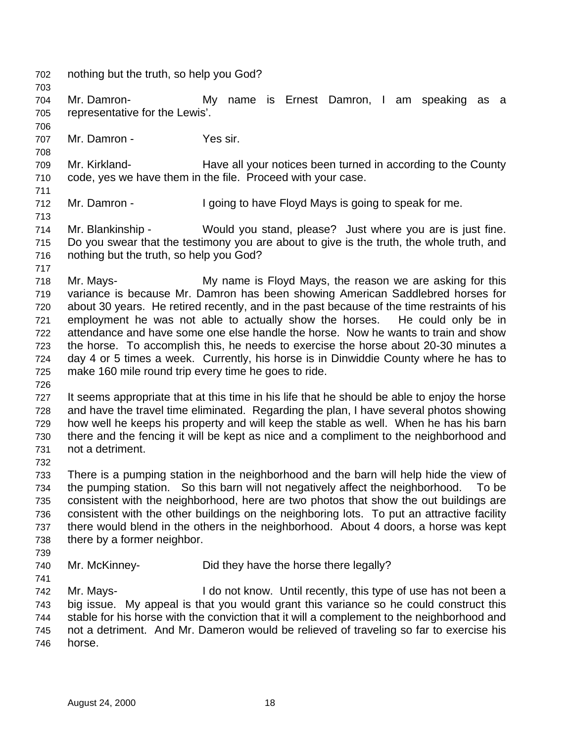nothing but the truth, so help you God? Mr. Damron- My name is Ernest Damron, I am speaking as a representative for the Lewis'. 707 Mr. Damron - Yes sir. Mr. Kirkland- Have all your notices been turned in according to the County code, yes we have them in the file. Proceed with your case. Mr. Damron - I going to have Floyd Mays is going to speak for me. Mr. Blankinship - Would you stand, please? Just where you are is just fine. Do you swear that the testimony you are about to give is the truth, the whole truth, and nothing but the truth, so help you God? Mr. Mays- My name is Floyd Mays, the reason we are asking for this variance is because Mr. Damron has been showing American Saddlebred horses for about 30 years. He retired recently, and in the past because of the time restraints of his employment he was not able to actually show the horses. He could only be in attendance and have some one else handle the horse. Now he wants to train and show the horse. To accomplish this, he needs to exercise the horse about 20-30 minutes a day 4 or 5 times a week. Currently, his horse is in Dinwiddie County where he has to make 160 mile round trip every time he goes to ride. It seems appropriate that at this time in his life that he should be able to enjoy the horse and have the travel time eliminated. Regarding the plan, I have several photos showing how well he keeps his property and will keep the stable as well. When he has his barn there and the fencing it will be kept as nice and a compliment to the neighborhood and not a detriment. There is a pumping station in the neighborhood and the barn will help hide the view of the pumping station. So this barn will not negatively affect the neighborhood. To be consistent with the neighborhood, here are two photos that show the out buildings are consistent with the other buildings on the neighboring lots. To put an attractive facility there would blend in the others in the neighborhood. About 4 doors, a horse was kept there by a former neighbor. Mr. McKinney- Did they have the horse there legally? Mr. Mays- I do not know. Until recently, this type of use has not been a big issue. My appeal is that you would grant this variance so he could construct this stable for his horse with the conviction that it will a complement to the neighborhood and not a detriment. And Mr. Dameron would be relieved of traveling so far to exercise his horse.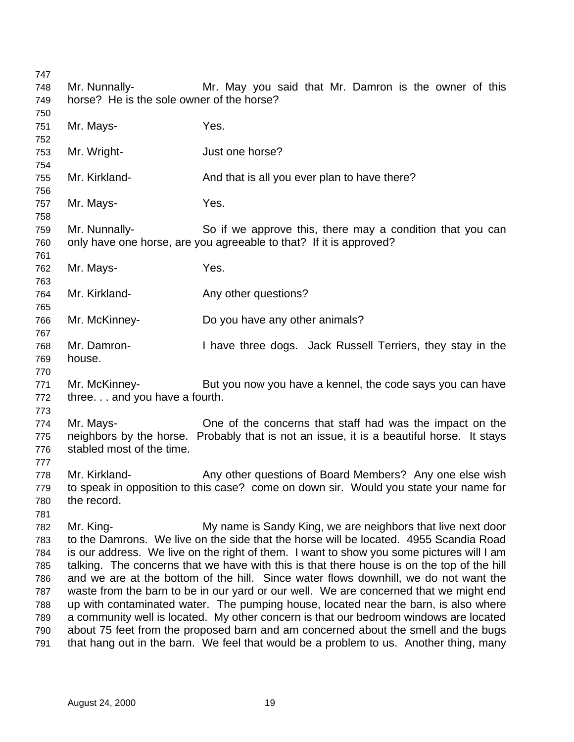| 747        |                                           |                                                                                                                                                                                    |  |  |  |
|------------|-------------------------------------------|------------------------------------------------------------------------------------------------------------------------------------------------------------------------------------|--|--|--|
| 748        | Mr. Nunnally-                             | Mr. May you said that Mr. Damron is the owner of this                                                                                                                              |  |  |  |
| 749        | horse? He is the sole owner of the horse? |                                                                                                                                                                                    |  |  |  |
| 750        |                                           |                                                                                                                                                                                    |  |  |  |
| 751        | Mr. Mays-                                 | Yes.                                                                                                                                                                               |  |  |  |
| 752        |                                           |                                                                                                                                                                                    |  |  |  |
| 753        | Mr. Wright-                               | Just one horse?                                                                                                                                                                    |  |  |  |
| 754        |                                           |                                                                                                                                                                                    |  |  |  |
| 755        | Mr. Kirkland-                             | And that is all you ever plan to have there?                                                                                                                                       |  |  |  |
| 756        |                                           |                                                                                                                                                                                    |  |  |  |
| 757        | Mr. Mays-                                 | Yes.                                                                                                                                                                               |  |  |  |
| 758        |                                           |                                                                                                                                                                                    |  |  |  |
| 759        | Mr. Nunnally-                             | So if we approve this, there may a condition that you can                                                                                                                          |  |  |  |
| 760        |                                           | only have one horse, are you agreeable to that? If it is approved?                                                                                                                 |  |  |  |
| 761<br>762 | Mr. Mays-                                 | Yes.                                                                                                                                                                               |  |  |  |
| 763        |                                           |                                                                                                                                                                                    |  |  |  |
| 764        | Mr. Kirkland-                             | Any other questions?                                                                                                                                                               |  |  |  |
| 765        |                                           |                                                                                                                                                                                    |  |  |  |
| 766        | Mr. McKinney-                             | Do you have any other animals?                                                                                                                                                     |  |  |  |
| 767        |                                           |                                                                                                                                                                                    |  |  |  |
| 768        | Mr. Damron-                               | I have three dogs. Jack Russell Terriers, they stay in the                                                                                                                         |  |  |  |
| 769        | house.                                    |                                                                                                                                                                                    |  |  |  |
| 770        |                                           |                                                                                                                                                                                    |  |  |  |
| 771        | Mr. McKinney-                             | But you now you have a kennel, the code says you can have                                                                                                                          |  |  |  |
| 772        | three. and you have a fourth.             |                                                                                                                                                                                    |  |  |  |
| 773        |                                           |                                                                                                                                                                                    |  |  |  |
| 774        | Mr. Mays-                                 | One of the concerns that staff had was the impact on the                                                                                                                           |  |  |  |
| 775        |                                           | neighbors by the horse. Probably that is not an issue, it is a beautiful horse. It stays                                                                                           |  |  |  |
| 776        | stabled most of the time.                 |                                                                                                                                                                                    |  |  |  |
| 777        |                                           |                                                                                                                                                                                    |  |  |  |
| 778        | Mr. Kirkland-                             | Any other questions of Board Members? Any one else wish                                                                                                                            |  |  |  |
| 779        |                                           | to speak in opposition to this case? come on down sir. Would you state your name for                                                                                               |  |  |  |
| 780        | the record.                               |                                                                                                                                                                                    |  |  |  |
| 781        |                                           |                                                                                                                                                                                    |  |  |  |
| 782        | Mr. King-                                 | My name is Sandy King, we are neighbors that live next door                                                                                                                        |  |  |  |
| 783        |                                           | to the Damrons. We live on the side that the horse will be located. 4955 Scandia Road                                                                                              |  |  |  |
| 784        |                                           | is our address. We live on the right of them. I want to show you some pictures will I am                                                                                           |  |  |  |
| 785<br>786 |                                           | talking. The concerns that we have with this is that there house is on the top of the hill<br>and we are at the bottom of the hill. Since water flows downhill, we do not want the |  |  |  |
| 787        |                                           | waste from the barn to be in our yard or our well. We are concerned that we might end                                                                                              |  |  |  |
| 788        |                                           | up with contaminated water. The pumping house, located near the barn, is also where                                                                                                |  |  |  |
| 789        |                                           | a community well is located. My other concern is that our bedroom windows are located                                                                                              |  |  |  |
| 790        |                                           | about 75 feet from the proposed barn and am concerned about the smell and the bugs                                                                                                 |  |  |  |
| 791        |                                           | that hang out in the barn. We feel that would be a problem to us. Another thing, many                                                                                              |  |  |  |
|            |                                           |                                                                                                                                                                                    |  |  |  |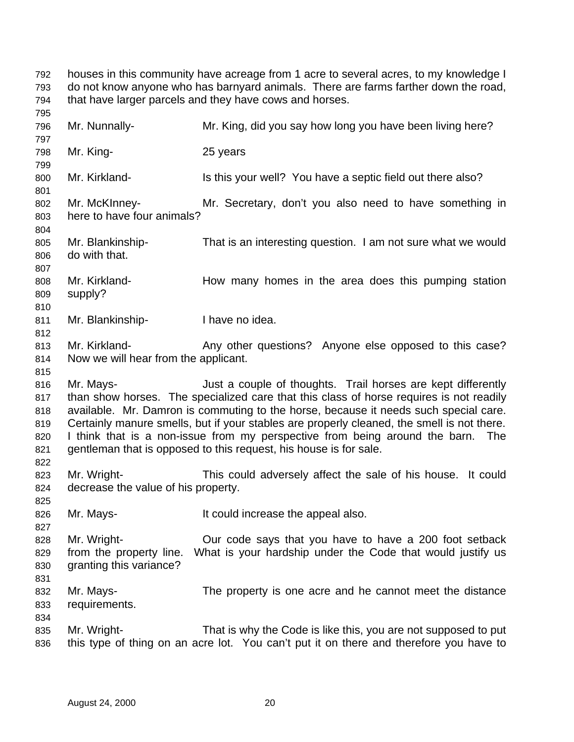houses in this community have acreage from 1 acre to several acres, to my knowledge I do not know anyone who has barnyard animals. There are farms farther down the road, that have larger parcels and they have cows and horses. Mr. Nunnally- Mr. King, did you say how long you have been living here? Mr. King- 25 years 800 Mr. Kirkland- Is this your well? You have a septic field out there also? Mr. McKInney- Mr. Secretary, don't you also need to have something in here to have four animals? Mr. Blankinship- That is an interesting question. I am not sure what we would do with that. Mr. Kirkland- How many homes in the area does this pumping station supply? 811 Mr. Blankinship-<br>
I have no idea. 813 Mr. Kirkland- Any other questions? Anyone else opposed to this case? Now we will hear from the applicant. Mr. Mays- Just a couple of thoughts. Trail horses are kept differently than show horses. The specialized care that this class of horse requires is not readily available. Mr. Damron is commuting to the horse, because it needs such special care. Certainly manure smells, but if your stables are properly cleaned, the smell is not there. I think that is a non-issue from my perspective from being around the barn. The gentleman that is opposed to this request, his house is for sale. Mr. Wright- This could adversely affect the sale of his house. It could decrease the value of his property. Mr. Mays- It could increase the appeal also. Mr. Wright- Our code says that you have to have a 200 foot setback from the property line. What is your hardship under the Code that would justify us granting this variance? Mr. Mays- The property is one acre and he cannot meet the distance requirements. Mr. Wright- That is why the Code is like this, you are not supposed to put this type of thing on an acre lot. You can't put it on there and therefore you have to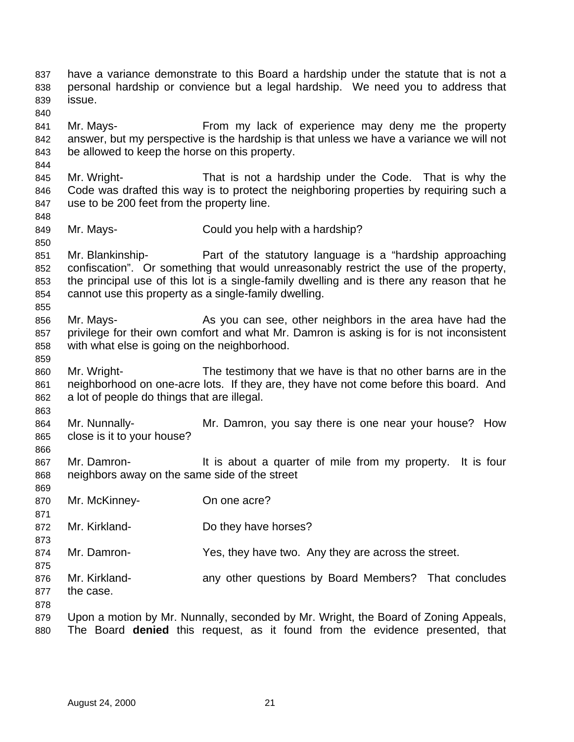have a variance demonstrate to this Board a hardship under the statute that is not a personal hardship or convience but a legal hardship. We need you to address that issue. Mr. Mays- From my lack of experience may deny me the property answer, but my perspective is the hardship is that unless we have a variance we will not be allowed to keep the horse on this property. Mr. Wright- That is not a hardship under the Code. That is why the Code was drafted this way is to protect the neighboring properties by requiring such a use to be 200 feet from the property line. Mr. Mays- Could you help with a hardship? Mr. Blankinship- Part of the statutory language is a "hardship approaching confiscation". Or something that would unreasonably restrict the use of the property, the principal use of this lot is a single-family dwelling and is there any reason that he cannot use this property as a single-family dwelling. Mr. Mays- As you can see, other neighbors in the area have had the privilege for their own comfort and what Mr. Damron is asking is for is not inconsistent with what else is going on the neighborhood. Mr. Wright- The testimony that we have is that no other barns are in the neighborhood on one-acre lots. If they are, they have not come before this board. And a lot of people do things that are illegal. Mr. Nunnally- Mr. Damron, you say there is one near your house? How close is it to your house? Mr. Damron- It is about a quarter of mile from my property. It is four neighbors away on the same side of the street Mr. McKinney- On one acre? Mr. Kirkland- Do they have horses? Mr. Damron- Yes, they have two. Any they are across the street. Mr. Kirkland- any other questions by Board Members? That concludes the case. 879 Upon a motion by Mr. Nunnally, seconded by Mr. Wright, the Board of Zoning Appeals, The Board **denied** this request, as it found from the evidence presented, that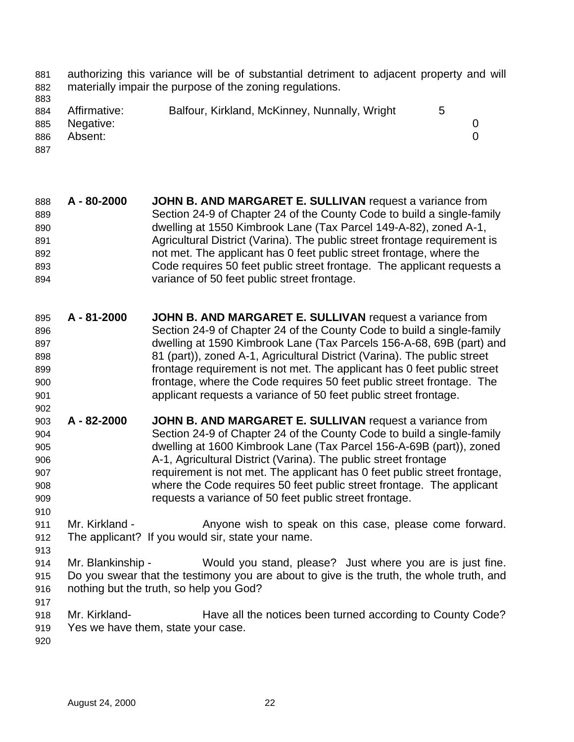- authorizing this variance will be of substantial detriment to adjacent property and will materially impair the purpose of the zoning regulations.
- 
- 884 Affirmative: Balfour, Kirkland, McKinney, Nunnally, Wright 5 Negative: 0 Absent: 0
- 
- **A 80-2000 JOHN B. AND MARGARET E. SULLIVAN** request a variance from Section 24-9 of Chapter 24 of the County Code to build a single-family dwelling at 1550 Kimbrook Lane (Tax Parcel 149-A-82), zoned A-1, Agricultural District (Varina). The public street frontage requirement is not met. The applicant has 0 feet public street frontage, where the Code requires 50 feet public street frontage. The applicant requests a variance of 50 feet public street frontage.
- **A 81-2000 JOHN B. AND MARGARET E. SULLIVAN** request a variance from Section 24-9 of Chapter 24 of the County Code to build a single-family dwelling at 1590 Kimbrook Lane (Tax Parcels 156-A-68, 69B (part) and 81 (part)), zoned A-1, Agricultural District (Varina). The public street frontage requirement is not met. The applicant has 0 feet public street frontage, where the Code requires 50 feet public street frontage. The applicant requests a variance of 50 feet public street frontage.
- **A 82-2000 JOHN B. AND MARGARET E. SULLIVAN** request a variance from Section 24-9 of Chapter 24 of the County Code to build a single-family dwelling at 1600 Kimbrook Lane (Tax Parcel 156-A-69B (part)), zoned A-1, Agricultural District (Varina). The public street frontage requirement is not met. The applicant has 0 feet public street frontage, where the Code requires 50 feet public street frontage. The applicant requests a variance of 50 feet public street frontage.
- 911 Mr. Kirkland - Anyone wish to speak on this case, please come forward. The applicant? If you would sir, state your name.
- Mr. Blankinship Would you stand, please? Just where you are is just fine. Do you swear that the testimony you are about to give is the truth, the whole truth, and nothing but the truth, so help you God?
- Mr. Kirkland- Have all the notices been turned according to County Code? Yes we have them, state your case.
-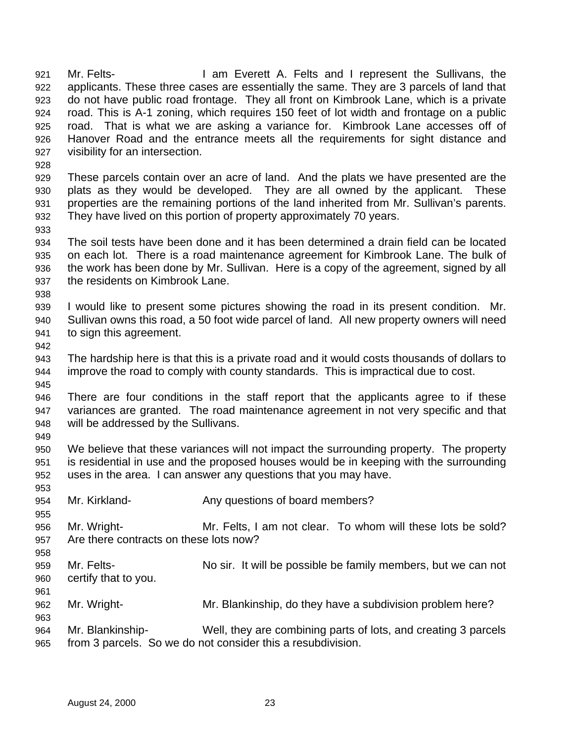Mr. Felts- I am Everett A. Felts and I represent the Sullivans, the applicants. These three cases are essentially the same. They are 3 parcels of land that do not have public road frontage. They all front on Kimbrook Lane, which is a private road. This is A-1 zoning, which requires 150 feet of lot width and frontage on a public road. That is what we are asking a variance for. Kimbrook Lane accesses off of Hanover Road and the entrance meets all the requirements for sight distance and visibility for an intersection.

 These parcels contain over an acre of land. And the plats we have presented are the plats as they would be developed. They are all owned by the applicant. These properties are the remaining portions of the land inherited from Mr. Sullivan's parents. They have lived on this portion of property approximately 70 years.

 The soil tests have been done and it has been determined a drain field can be located on each lot. There is a road maintenance agreement for Kimbrook Lane. The bulk of the work has been done by Mr. Sullivan. Here is a copy of the agreement, signed by all the residents on Kimbrook Lane.

 I would like to present some pictures showing the road in its present condition. Mr. Sullivan owns this road, a 50 foot wide parcel of land. All new property owners will need to sign this agreement.

 The hardship here is that this is a private road and it would costs thousands of dollars to improve the road to comply with county standards. This is impractical due to cost.

 There are four conditions in the staff report that the applicants agree to if these variances are granted. The road maintenance agreement in not very specific and that will be addressed by the Sullivans.

 We believe that these variances will not impact the surrounding property. The property is residential in use and the proposed houses would be in keeping with the surrounding uses in the area. I can answer any questions that you may have.

- Mr. Kirkland- Any questions of board members?
- Mr. Wright- Mr. Felts, I am not clear. To whom will these lots be sold? Are there contracts on these lots now?
- Mr. Felts- No sir. It will be possible be family members, but we can not certify that to you.
- Mr. Wright- Mr. Blankinship, do they have a subdivision problem here?
- Mr. Blankinship- Well, they are combining parts of lots, and creating 3 parcels from 3 parcels. So we do not consider this a resubdivision.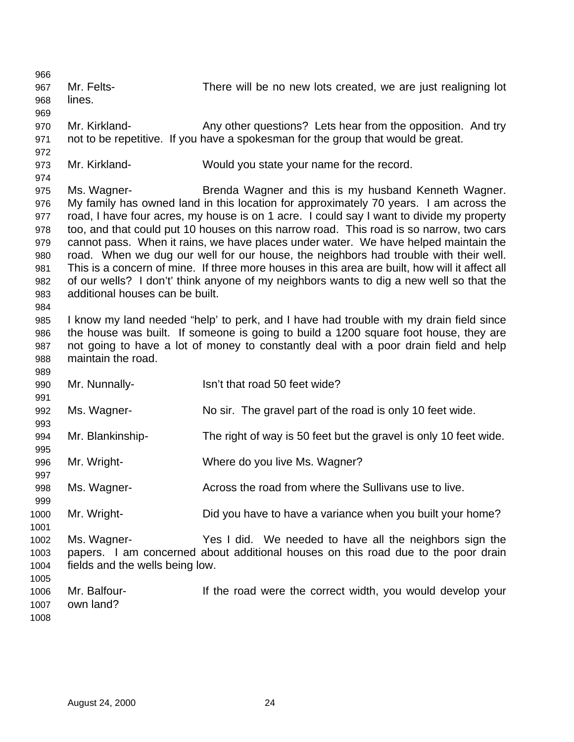Mr. Felts- There will be no new lots created, we are just realigning lot lines. Mr. Kirkland- Any other questions? Lets hear from the opposition. And try not to be repetitive. If you have a spokesman for the group that would be great. Mr. Kirkland- Would you state your name for the record. Ms. Wagner- Brenda Wagner and this is my husband Kenneth Wagner. My family has owned land in this location for approximately 70 years. I am across the road, I have four acres, my house is on 1 acre. I could say I want to divide my property too, and that could put 10 houses on this narrow road. This road is so narrow, two cars cannot pass. When it rains, we have places under water. We have helped maintain the road. When we dug our well for our house, the neighbors had trouble with their well. This is a concern of mine. If three more houses in this area are built, how will it affect all of our wells? I don't' think anyone of my neighbors wants to dig a new well so that the additional houses can be built. I know my land needed "help' to perk, and I have had trouble with my drain field since the house was built. If someone is going to build a 1200 square foot house, they are not going to have a lot of money to constantly deal with a poor drain field and help maintain the road. 990 Mr. Nunnally-<br>
1990 Mr. Nunnally-<br>
1990 Mr. Nunnally- Ms. Wagner- No sir. The gravel part of the road is only 10 feet wide. Mr. Blankinship- The right of way is 50 feet but the gravel is only 10 feet wide. Mr. Wright- Where do you live Ms. Wagner? 998 Ms. Wagner- **Across the road from where the Sullivans use to live.**  Mr. Wright- Did you have to have a variance when you built your home? Ms. Wagner- Yes I did. We needed to have all the neighbors sign the papers. I am concerned about additional houses on this road due to the poor drain fields and the wells being low. Mr. Balfour- If the road were the correct width, you would develop your own land?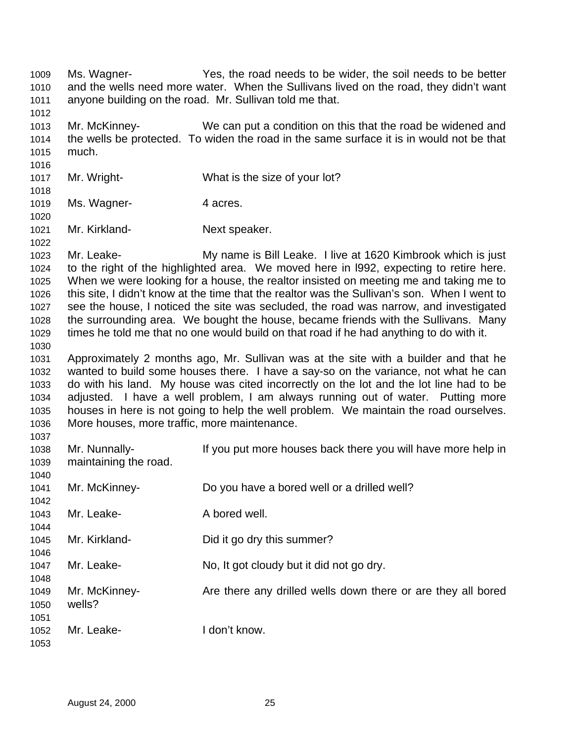Ms. Wagner- Yes, the road needs to be wider, the soil needs to be better and the wells need more water. When the Sullivans lived on the road, they didn't want anyone building on the road. Mr. Sullivan told me that. Mr. McKinney- We can put a condition on this that the road be widened and the wells be protected. To widen the road in the same surface it is in would not be that much. Mr. Wright- What is the size of your lot? 1019 Ms. Wagner- 4 acres. Mr. Kirkland- Next speaker. Mr. Leake- My name is Bill Leake. I live at 1620 Kimbrook which is just to the right of the highlighted area. We moved here in l992, expecting to retire here. When we were looking for a house, the realtor insisted on meeting me and taking me to this site, I didn't know at the time that the realtor was the Sullivan's son. When I went to see the house, I noticed the site was secluded, the road was narrow, and investigated the surrounding area. We bought the house, became friends with the Sullivans. Many times he told me that no one would build on that road if he had anything to do with it. Approximately 2 months ago, Mr. Sullivan was at the site with a builder and that he wanted to build some houses there. I have a say-so on the variance, not what he can do with his land. My house was cited incorrectly on the lot and the lot line had to be adjusted. I have a well problem, I am always running out of water. Putting more houses in here is not going to help the well problem. We maintain the road ourselves. More houses, more traffic, more maintenance. Mr. Nunnally- If you put more houses back there you will have more help in maintaining the road. Mr. McKinney- Do you have a bored well or a drilled well? 1043 Mr. Leake- A bored well. Mr. Kirkland- Did it go dry this summer? Mr. Leake- No, It got cloudy but it did not go dry. Mr. McKinney- Are there any drilled wells down there or are they all bored wells? Mr. Leake- I don't know.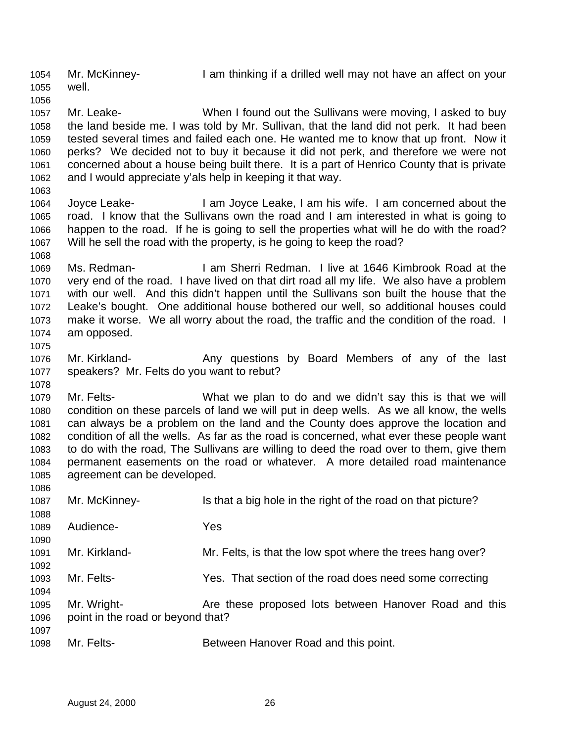Mr. McKinney- I am thinking if a drilled well may not have an affect on your well. Mr. Leake- When I found out the Sullivans were moving, I asked to buy the land beside me. I was told by Mr. Sullivan, that the land did not perk. It had been tested several times and failed each one. He wanted me to know that up front. Now it perks? We decided not to buy it because it did not perk, and therefore we were not concerned about a house being built there. It is a part of Henrico County that is private and I would appreciate y'als help in keeping it that way. Joyce Leake- I am Joyce Leake, I am his wife. I am concerned about the road. I know that the Sullivans own the road and I am interested in what is going to happen to the road. If he is going to sell the properties what will he do with the road? Will he sell the road with the property, is he going to keep the road? Ms. Redman- I am Sherri Redman. I live at 1646 Kimbrook Road at the very end of the road. I have lived on that dirt road all my life. We also have a problem with our well. And this didn't happen until the Sullivans son built the house that the Leake's bought. One additional house bothered our well, so additional houses could make it worse. We all worry about the road, the traffic and the condition of the road. I am opposed. 1076 Mr. Kirkland- **Any questions by Board Members of any of the last**  speakers? Mr. Felts do you want to rebut? Mr. Felts- What we plan to do and we didn't say this is that we will condition on these parcels of land we will put in deep wells. As we all know, the wells can always be a problem on the land and the County does approve the location and condition of all the wells. As far as the road is concerned, what ever these people want to do with the road, The Sullivans are willing to deed the road over to them, give them permanent easements on the road or whatever. A more detailed road maintenance agreement can be developed. Mr. McKinney- Is that a big hole in the right of the road on that picture? Audience- Yes Mr. Kirkland- Mr. Felts, is that the low spot where the trees hang over? Mr. Felts- Yes. That section of the road does need some correcting Mr. Wright- Are these proposed lots between Hanover Road and this point in the road or beyond that? 1098 Mr. Felts- **Between Hanover Road and this point.**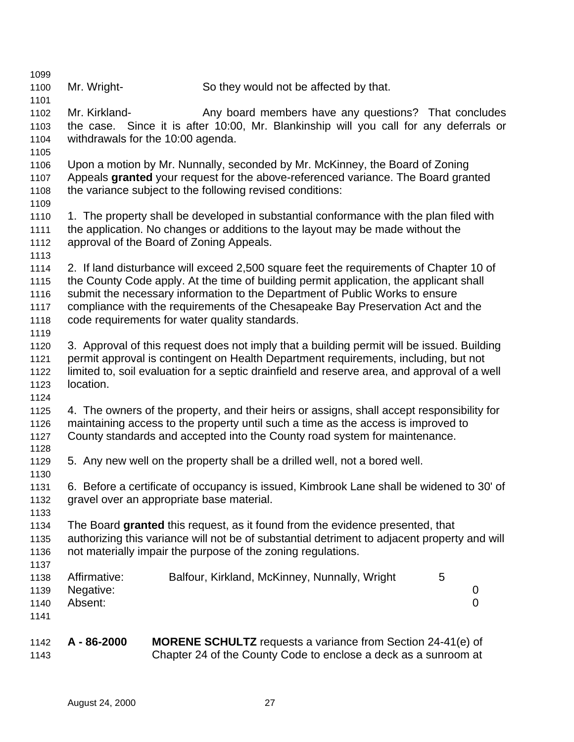| 1099<br>1100                                 | Mr. Wright-                                        | So they would not be affected by that.                                                                                                                                                                                                                                                                                                                                                                |                                      |
|----------------------------------------------|----------------------------------------------------|-------------------------------------------------------------------------------------------------------------------------------------------------------------------------------------------------------------------------------------------------------------------------------------------------------------------------------------------------------------------------------------------------------|--------------------------------------|
| 1101<br>1102<br>1103<br>1104<br>1105         | Mr. Kirkland-<br>withdrawals for the 10:00 agenda. | Any board members have any questions? That concludes<br>the case. Since it is after 10:00, Mr. Blankinship will you call for any deferrals or                                                                                                                                                                                                                                                         |                                      |
| 1106<br>1107<br>1108<br>1109                 |                                                    | Upon a motion by Mr. Nunnally, seconded by Mr. McKinney, the Board of Zoning<br>Appeals granted your request for the above-referenced variance. The Board granted<br>the variance subject to the following revised conditions:                                                                                                                                                                        |                                      |
| 1110<br>1111<br>1112<br>1113                 | approval of the Board of Zoning Appeals.           | 1. The property shall be developed in substantial conformance with the plan filed with<br>the application. No changes or additions to the layout may be made without the                                                                                                                                                                                                                              |                                      |
| 1114<br>1115<br>1116<br>1117<br>1118         |                                                    | 2. If land disturbance will exceed 2,500 square feet the requirements of Chapter 10 of<br>the County Code apply. At the time of building permit application, the applicant shall<br>submit the necessary information to the Department of Public Works to ensure<br>compliance with the requirements of the Chesapeake Bay Preservation Act and the<br>code requirements for water quality standards. |                                      |
| 1119<br>1120<br>1121<br>1122<br>1123<br>1124 | location.                                          | 3. Approval of this request does not imply that a building permit will be issued. Building<br>permit approval is contingent on Health Department requirements, including, but not<br>limited to, soil evaluation for a septic drainfield and reserve area, and approval of a well                                                                                                                     |                                      |
| 1125<br>1126<br>1127<br>1128                 |                                                    | 4. The owners of the property, and their heirs or assigns, shall accept responsibility for<br>maintaining access to the property until such a time as the access is improved to<br>County standards and accepted into the County road system for maintenance.                                                                                                                                         |                                      |
| 1129<br>1130                                 |                                                    | 5. Any new well on the property shall be a drilled well, not a bored well.                                                                                                                                                                                                                                                                                                                            |                                      |
| 1131<br>1132<br>1133                         | gravel over an appropriate base material.          | 6. Before a certificate of occupancy is issued, Kimbrook Lane shall be widened to 30' of                                                                                                                                                                                                                                                                                                              |                                      |
| 1134<br>1135<br>1136<br>1137                 |                                                    | The Board granted this request, as it found from the evidence presented, that<br>authorizing this variance will not be of substantial detriment to adjacent property and will<br>not materially impair the purpose of the zoning regulations.                                                                                                                                                         |                                      |
| 1138<br>1139<br>1140<br>1141                 | Affirmative:<br>Negative:<br>Absent:               | Balfour, Kirkland, McKinney, Nunnally, Wright                                                                                                                                                                                                                                                                                                                                                         | 5<br>$\boldsymbol{0}$<br>$\mathbf 0$ |
| 1142<br>1143                                 | A-86-2000                                          | <b>MORENE SCHULTZ</b> requests a variance from Section 24-41(e) of<br>Chapter 24 of the County Code to enclose a deck as a sunroom at                                                                                                                                                                                                                                                                 |                                      |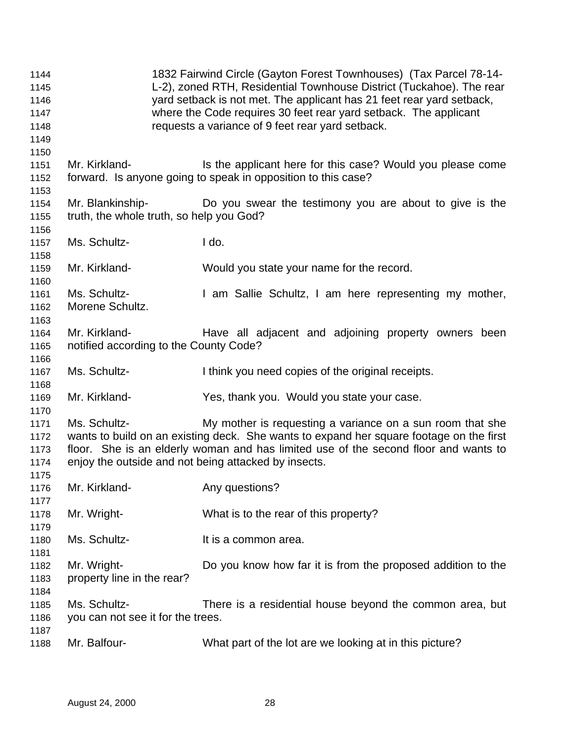| 1144<br>1145<br>1146<br>1147<br>1148<br>1149 |                                                      | 1832 Fairwind Circle (Gayton Forest Townhouses) (Tax Parcel 78-14-<br>L-2), zoned RTH, Residential Townhouse District (Tuckahoe). The rear<br>yard setback is not met. The applicant has 21 feet rear yard setback,<br>where the Code requires 30 feet rear yard setback. The applicant<br>requests a variance of 9 feet rear yard setback. |
|----------------------------------------------|------------------------------------------------------|---------------------------------------------------------------------------------------------------------------------------------------------------------------------------------------------------------------------------------------------------------------------------------------------------------------------------------------------|
| 1150                                         |                                                      |                                                                                                                                                                                                                                                                                                                                             |
| 1151                                         | Mr. Kirkland-                                        | Is the applicant here for this case? Would you please come                                                                                                                                                                                                                                                                                  |
| 1152                                         |                                                      | forward. Is anyone going to speak in opposition to this case?                                                                                                                                                                                                                                                                               |
| 1153                                         | Mr. Blankinship-                                     |                                                                                                                                                                                                                                                                                                                                             |
| 1154                                         |                                                      | Do you swear the testimony you are about to give is the                                                                                                                                                                                                                                                                                     |
| 1155                                         | truth, the whole truth, so help you God?             |                                                                                                                                                                                                                                                                                                                                             |
| 1156<br>1157                                 | Ms. Schultz-                                         | I do.                                                                                                                                                                                                                                                                                                                                       |
| 1158                                         |                                                      |                                                                                                                                                                                                                                                                                                                                             |
| 1159                                         | Mr. Kirkland-                                        | Would you state your name for the record.                                                                                                                                                                                                                                                                                                   |
| 1160                                         |                                                      |                                                                                                                                                                                                                                                                                                                                             |
| 1161                                         | Ms. Schultz-                                         | I am Sallie Schultz, I am here representing my mother,                                                                                                                                                                                                                                                                                      |
| 1162                                         | Morene Schultz.                                      |                                                                                                                                                                                                                                                                                                                                             |
| 1163                                         |                                                      |                                                                                                                                                                                                                                                                                                                                             |
| 1164                                         | Mr. Kirkland-                                        | Have all adjacent and adjoining property owners been                                                                                                                                                                                                                                                                                        |
| 1165                                         | notified according to the County Code?               |                                                                                                                                                                                                                                                                                                                                             |
| 1166                                         |                                                      |                                                                                                                                                                                                                                                                                                                                             |
| 1167                                         | Ms. Schultz-                                         | I think you need copies of the original receipts.                                                                                                                                                                                                                                                                                           |
| 1168                                         |                                                      |                                                                                                                                                                                                                                                                                                                                             |
| 1169                                         | Mr. Kirkland-                                        | Yes, thank you. Would you state your case.                                                                                                                                                                                                                                                                                                  |
| 1170                                         |                                                      |                                                                                                                                                                                                                                                                                                                                             |
| 1171                                         | Ms. Schultz-                                         | My mother is requesting a variance on a sun room that she                                                                                                                                                                                                                                                                                   |
| 1172                                         |                                                      | wants to build on an existing deck. She wants to expand her square footage on the first                                                                                                                                                                                                                                                     |
| 1173                                         |                                                      | floor. She is an elderly woman and has limited use of the second floor and wants to                                                                                                                                                                                                                                                         |
| 1174                                         | enjoy the outside and not being attacked by insects. |                                                                                                                                                                                                                                                                                                                                             |
| 1175                                         |                                                      |                                                                                                                                                                                                                                                                                                                                             |
| 1176                                         | Mr. Kirkland-<br>Mr. Kirkland-<br>Mr. 2010           |                                                                                                                                                                                                                                                                                                                                             |
| 1177                                         |                                                      |                                                                                                                                                                                                                                                                                                                                             |
| 1178                                         | Mr. Wright-                                          | What is to the rear of this property?                                                                                                                                                                                                                                                                                                       |
| 1179                                         |                                                      |                                                                                                                                                                                                                                                                                                                                             |
| 1180                                         | Ms. Schultz-                                         | It is a common area.                                                                                                                                                                                                                                                                                                                        |
| 1181                                         |                                                      |                                                                                                                                                                                                                                                                                                                                             |
| 1182                                         | Mr. Wright-                                          | Do you know how far it is from the proposed addition to the                                                                                                                                                                                                                                                                                 |
| 1183                                         | property line in the rear?                           |                                                                                                                                                                                                                                                                                                                                             |
| 1184                                         |                                                      |                                                                                                                                                                                                                                                                                                                                             |
| 1185                                         | Ms. Schultz-                                         | There is a residential house beyond the common area, but                                                                                                                                                                                                                                                                                    |
| 1186                                         | you can not see it for the trees.                    |                                                                                                                                                                                                                                                                                                                                             |
| 1187<br>1188                                 | Mr. Balfour-                                         | What part of the lot are we looking at in this picture?                                                                                                                                                                                                                                                                                     |
|                                              |                                                      |                                                                                                                                                                                                                                                                                                                                             |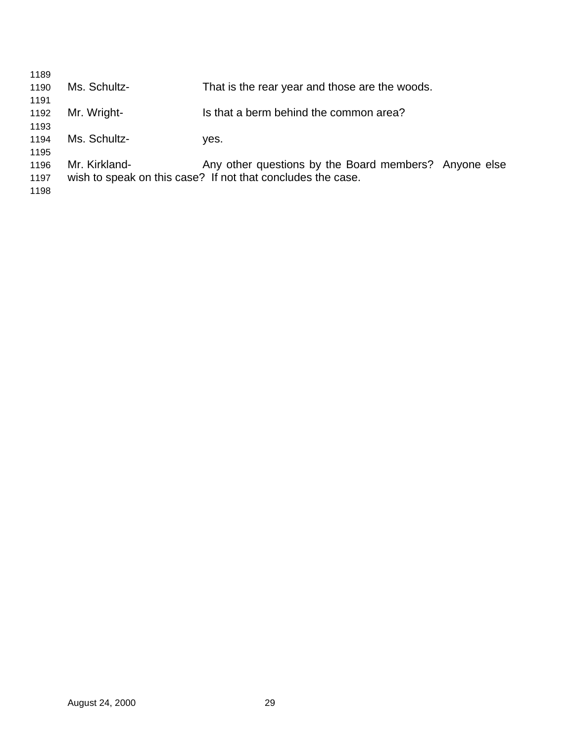| 1189 |               |                                                             |  |
|------|---------------|-------------------------------------------------------------|--|
| 1190 | Ms. Schultz-  | That is the rear year and those are the woods.              |  |
| 1191 |               |                                                             |  |
| 1192 | Mr. Wright-   | Is that a berm behind the common area?                      |  |
| 1193 |               |                                                             |  |
| 1194 | Ms. Schultz-  | ves.                                                        |  |
| 1195 |               |                                                             |  |
| 1196 | Mr. Kirkland- | Any other questions by the Board members? Anyone else       |  |
| 1197 |               | wish to speak on this case? If not that concludes the case. |  |
| 1198 |               |                                                             |  |
|      |               |                                                             |  |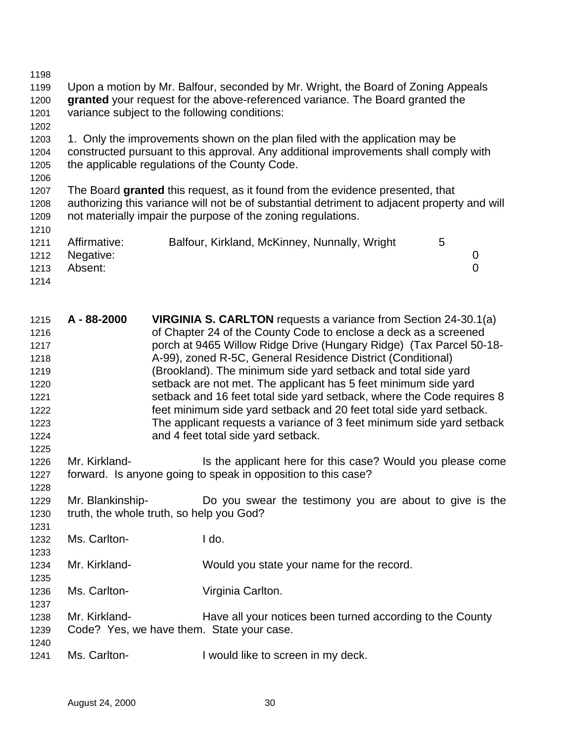Upon a motion by Mr. Balfour, seconded by Mr. Wright, the Board of Zoning Appeals **granted** your request for the above-referenced variance. The Board granted the variance subject to the following conditions: 1. Only the improvements shown on the plan filed with the application may be constructed pursuant to this approval. Any additional improvements shall comply with the applicable regulations of the County Code. The Board **granted** this request, as it found from the evidence presented, that authorizing this variance will not be of substantial detriment to adjacent property and will not materially impair the purpose of the zoning regulations. 1211 Affirmative: Balfour, Kirkland, McKinney, Nunnally, Wright 5 Negative: 0 Absent: 0 

 **A - 88-2000 VIRGINIA S. CARLTON** requests a variance from Section 24-30.1(a) of Chapter 24 of the County Code to enclose a deck as a screened porch at 9465 Willow Ridge Drive (Hungary Ridge) (Tax Parcel 50-18- A-99), zoned R-5C, General Residence District (Conditional) (Brookland). The minimum side yard setback and total side yard setback are not met. The applicant has 5 feet minimum side yard setback and 16 feet total side yard setback, where the Code requires 8 feet minimum side yard setback and 20 feet total side yard setback. The applicant requests a variance of 3 feet minimum side yard setback and 4 feet total side yard setback.

- 1226 Mr. Kirkland- Is the applicant here for this case? Would you please come forward. Is anyone going to speak in opposition to this case?
- Mr. Blankinship- Do you swear the testimony you are about to give is the truth, the whole truth, so help you God?
- Ms. Carlton- I do.
- Mr. Kirkland- Would you state your name for the record.
- Ms. Carlton- Virginia Carlton.
- Mr. Kirkland- Have all your notices been turned according to the County Code? Yes, we have them. State your case.
- 

1241 Ms. Carlton- **I** would like to screen in my deck.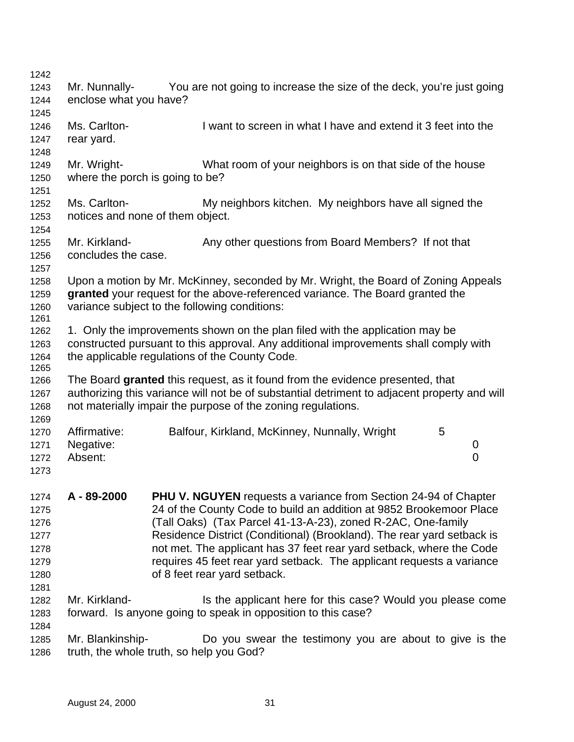| 1242         |                        |                                                                                                                                               |
|--------------|------------------------|-----------------------------------------------------------------------------------------------------------------------------------------------|
| 1243         | Mr. Nunnally-          | You are not going to increase the size of the deck, you're just going                                                                         |
| 1244         | enclose what you have? |                                                                                                                                               |
| 1245         |                        |                                                                                                                                               |
| 1246         | Ms. Carlton-           | I want to screen in what I have and extend it 3 feet into the                                                                                 |
| 1247         | rear yard.             |                                                                                                                                               |
| 1248         |                        |                                                                                                                                               |
| 1249         | Mr. Wright-            | What room of your neighbors is on that side of the house                                                                                      |
| 1250         |                        | where the porch is going to be?                                                                                                               |
| 1251         |                        |                                                                                                                                               |
| 1252         | Ms. Carlton-           | My neighbors kitchen. My neighbors have all signed the                                                                                        |
| 1253         |                        | notices and none of them object.                                                                                                              |
| 1254         |                        |                                                                                                                                               |
| 1255         | Mr. Kirkland-          | Any other questions from Board Members? If not that                                                                                           |
| 1256<br>1257 | concludes the case.    |                                                                                                                                               |
| 1258         |                        | Upon a motion by Mr. McKinney, seconded by Mr. Wright, the Board of Zoning Appeals                                                            |
| 1259         |                        | granted your request for the above-referenced variance. The Board granted the                                                                 |
| 1260         |                        | variance subject to the following conditions:                                                                                                 |
| 1261         |                        |                                                                                                                                               |
| 1262         |                        | 1. Only the improvements shown on the plan filed with the application may be                                                                  |
| 1263         |                        | constructed pursuant to this approval. Any additional improvements shall comply with                                                          |
| 1264         |                        | the applicable regulations of the County Code.                                                                                                |
| 1265         |                        |                                                                                                                                               |
| 1266         |                        | The Board granted this request, as it found from the evidence presented, that                                                                 |
| 1267         |                        | authorizing this variance will not be of substantial detriment to adjacent property and will                                                  |
| 1268         |                        | not materially impair the purpose of the zoning regulations.                                                                                  |
| 1269         |                        |                                                                                                                                               |
| 1270         | Affirmative:           | Balfour, Kirkland, McKinney, Nunnally, Wright<br>5                                                                                            |
| 1271         | Negative:              | 0                                                                                                                                             |
| 1272         | Absent:                | 0                                                                                                                                             |
| 1273         |                        |                                                                                                                                               |
|              | A-89-2000              |                                                                                                                                               |
| 1274<br>1275 |                        | <b>PHU V. NGUYEN</b> requests a variance from Section 24-94 of Chapter<br>24 of the County Code to build an addition at 9852 Brookemoor Place |
| 1276         |                        | (Tall Oaks) (Tax Parcel 41-13-A-23), zoned R-2AC, One-family                                                                                  |
| 1277         |                        | Residence District (Conditional) (Brookland). The rear yard setback is                                                                        |
| 1278         |                        | not met. The applicant has 37 feet rear yard setback, where the Code                                                                          |
| 1279         |                        | requires 45 feet rear yard setback. The applicant requests a variance                                                                         |
| 1280         |                        | of 8 feet rear yard setback.                                                                                                                  |
| 1281         |                        |                                                                                                                                               |
| 1282         | Mr. Kirkland-          | Is the applicant here for this case? Would you please come                                                                                    |
| 1283         |                        | forward. Is anyone going to speak in opposition to this case?                                                                                 |
| 1284         |                        |                                                                                                                                               |
| 1285         | Mr. Blankinship-       | Do you swear the testimony you are about to give is the                                                                                       |
| 1286         |                        | truth, the whole truth, so help you God?                                                                                                      |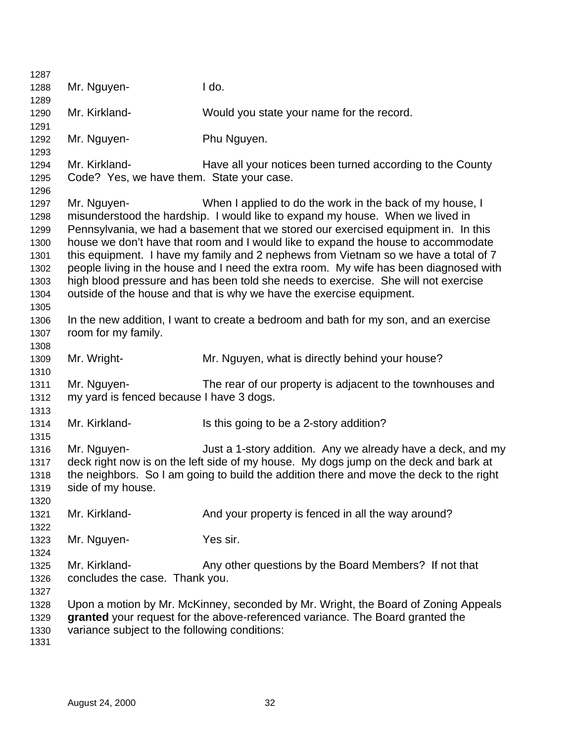| 1287         |                                               |                                                                                         |  |  |  |  |  |  |
|--------------|-----------------------------------------------|-----------------------------------------------------------------------------------------|--|--|--|--|--|--|
| 1288         | Mr. Nguyen-                                   | I do.                                                                                   |  |  |  |  |  |  |
| 1289         |                                               |                                                                                         |  |  |  |  |  |  |
| 1290         | Mr. Kirkland-                                 | Would you state your name for the record.                                               |  |  |  |  |  |  |
| 1291         |                                               |                                                                                         |  |  |  |  |  |  |
| 1292         | Mr. Nguyen-                                   | Phu Nguyen.                                                                             |  |  |  |  |  |  |
| 1293         |                                               |                                                                                         |  |  |  |  |  |  |
| 1294         | Mr. Kirkland-                                 | Have all your notices been turned according to the County                               |  |  |  |  |  |  |
| 1295         | Code? Yes, we have them. State your case.     |                                                                                         |  |  |  |  |  |  |
| 1296         |                                               |                                                                                         |  |  |  |  |  |  |
| 1297         | Mr. Nguyen-                                   | When I applied to do the work in the back of my house, I                                |  |  |  |  |  |  |
| 1298         |                                               | misunderstood the hardship. I would like to expand my house. When we lived in           |  |  |  |  |  |  |
| 1299         |                                               | Pennsylvania, we had a basement that we stored our exercised equipment in. In this      |  |  |  |  |  |  |
| 1300         |                                               | house we don't have that room and I would like to expand the house to accommodate       |  |  |  |  |  |  |
| 1301         |                                               | this equipment. I have my family and 2 nephews from Vietnam so we have a total of 7     |  |  |  |  |  |  |
| 1302         |                                               | people living in the house and I need the extra room. My wife has been diagnosed with   |  |  |  |  |  |  |
| 1303         |                                               | high blood pressure and has been told she needs to exercise. She will not exercise      |  |  |  |  |  |  |
| 1304         |                                               | outside of the house and that is why we have the exercise equipment.                    |  |  |  |  |  |  |
| 1305         |                                               |                                                                                         |  |  |  |  |  |  |
| 1306         |                                               | In the new addition, I want to create a bedroom and bath for my son, and an exercise    |  |  |  |  |  |  |
| 1307         | room for my family.                           |                                                                                         |  |  |  |  |  |  |
| 1308         |                                               |                                                                                         |  |  |  |  |  |  |
| 1309         | Mr. Wright-                                   | Mr. Nguyen, what is directly behind your house?                                         |  |  |  |  |  |  |
| 1310         |                                               |                                                                                         |  |  |  |  |  |  |
| 1311         | Mr. Nguyen-                                   | The rear of our property is adjacent to the townhouses and                              |  |  |  |  |  |  |
| 1312         | my yard is fenced because I have 3 dogs.      |                                                                                         |  |  |  |  |  |  |
| 1313         |                                               |                                                                                         |  |  |  |  |  |  |
| 1314         | Mr. Kirkland-                                 | Is this going to be a 2-story addition?                                                 |  |  |  |  |  |  |
| 1315         |                                               |                                                                                         |  |  |  |  |  |  |
| 1316         | Mr. Nguyen-                                   | Just a 1-story addition. Any we already have a deck, and my                             |  |  |  |  |  |  |
| 1317         |                                               | deck right now is on the left side of my house. My dogs jump on the deck and bark at    |  |  |  |  |  |  |
| 1318         |                                               | the neighbors. So I am going to build the addition there and move the deck to the right |  |  |  |  |  |  |
| 1319         | side of my house.                             |                                                                                         |  |  |  |  |  |  |
| 1320         |                                               |                                                                                         |  |  |  |  |  |  |
| 1321         | Mr. Kirkland-                                 | And your property is fenced in all the way around?                                      |  |  |  |  |  |  |
| 1322         |                                               |                                                                                         |  |  |  |  |  |  |
| 1323         | Mr. Nguyen-                                   | Yes sir.                                                                                |  |  |  |  |  |  |
| 1324         |                                               |                                                                                         |  |  |  |  |  |  |
|              | Mr. Kirkland-                                 | Any other questions by the Board Members? If not that                                   |  |  |  |  |  |  |
| 1325         |                                               |                                                                                         |  |  |  |  |  |  |
| 1326         | concludes the case. Thank you.                |                                                                                         |  |  |  |  |  |  |
| 1327         |                                               |                                                                                         |  |  |  |  |  |  |
| 1328         |                                               | Upon a motion by Mr. McKinney, seconded by Mr. Wright, the Board of Zoning Appeals      |  |  |  |  |  |  |
| 1329         |                                               | granted your request for the above-referenced variance. The Board granted the           |  |  |  |  |  |  |
| 1330<br>1331 | variance subject to the following conditions: |                                                                                         |  |  |  |  |  |  |
|              |                                               |                                                                                         |  |  |  |  |  |  |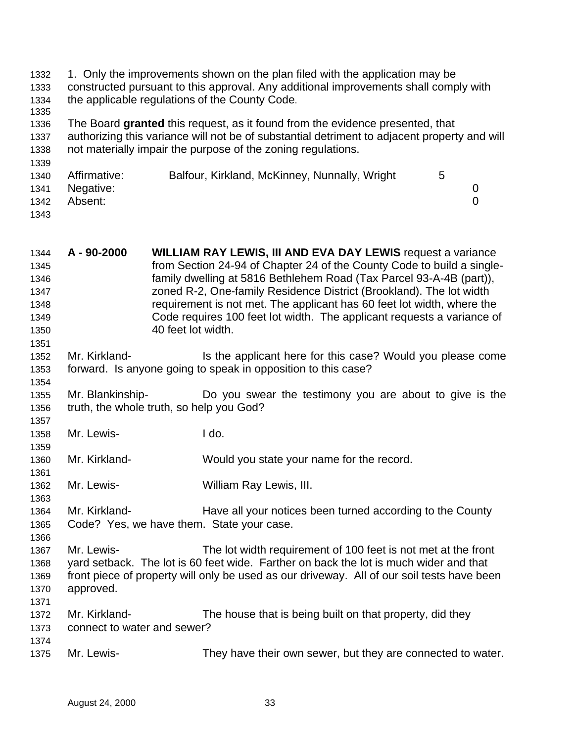| 1332<br>1333 |              | 1. Only the improvements shown on the plan filed with the application may be<br>constructed pursuant to this approval. Any additional improvements shall comply with |   |                |
|--------------|--------------|----------------------------------------------------------------------------------------------------------------------------------------------------------------------|---|----------------|
| 1334<br>1335 |              | the applicable regulations of the County Code.                                                                                                                       |   |                |
| 1336         |              | The Board granted this request, as it found from the evidence presented, that                                                                                        |   |                |
| 1337         |              | authorizing this variance will not be of substantial detriment to adjacent property and will                                                                         |   |                |
| 1338         |              | not materially impair the purpose of the zoning regulations.                                                                                                         |   |                |
| 1339         |              |                                                                                                                                                                      |   |                |
| 1340         | Affirmative: | Balfour, Kirkland, McKinney, Nunnally, Wright                                                                                                                        | 5 |                |
| 1341         | Negative:    |                                                                                                                                                                      |   | 0              |
| 1342         | Absent:      |                                                                                                                                                                      |   | $\overline{0}$ |
| 1343         |              |                                                                                                                                                                      |   |                |

| 1344         | A - 90-2000                 | <b>WILLIAM RAY LEWIS, III AND EVA DAY LEWIS request a variance</b>                                                                         |
|--------------|-----------------------------|--------------------------------------------------------------------------------------------------------------------------------------------|
| 1345         |                             | from Section 24-94 of Chapter 24 of the County Code to build a single-                                                                     |
| 1346         |                             | family dwelling at 5816 Bethlehem Road (Tax Parcel 93-A-4B (part)),<br>zoned R-2, One-family Residence District (Brookland). The lot width |
| 1347<br>1348 |                             | requirement is not met. The applicant has 60 feet lot width, where the                                                                     |
| 1349         |                             | Code requires 100 feet lot width. The applicant requests a variance of                                                                     |
| 1350         |                             | 40 feet lot width.                                                                                                                         |
| 1351         |                             |                                                                                                                                            |
| 1352         | Mr. Kirkland-               | Is the applicant here for this case? Would you please come                                                                                 |
| 1353         |                             | forward. Is anyone going to speak in opposition to this case?                                                                              |
| 1354         |                             |                                                                                                                                            |
| 1355         | Mr. Blankinship-            | Do you swear the testimony you are about to give is the                                                                                    |
| 1356         |                             | truth, the whole truth, so help you God?                                                                                                   |
| 1357         |                             |                                                                                                                                            |
| 1358         | Mr. Lewis-                  | I do.                                                                                                                                      |
| 1359         |                             |                                                                                                                                            |
| 1360         | Mr. Kirkland-               | Would you state your name for the record.                                                                                                  |
| 1361         |                             |                                                                                                                                            |
| 1362         | Mr. Lewis-                  | William Ray Lewis, III.                                                                                                                    |
| 1363         | Mr. Kirkland-               |                                                                                                                                            |
| 1364<br>1365 |                             | Have all your notices been turned according to the County<br>Code? Yes, we have them. State your case.                                     |
| 1366         |                             |                                                                                                                                            |
| 1367         | Mr. Lewis-                  | The lot width requirement of 100 feet is not met at the front                                                                              |
| 1368         |                             | yard setback. The lot is 60 feet wide. Farther on back the lot is much wider and that                                                      |
| 1369         |                             | front piece of property will only be used as our driveway. All of our soil tests have been                                                 |
| 1370         | approved.                   |                                                                                                                                            |
| 1371         |                             |                                                                                                                                            |
| 1372         | Mr. Kirkland-               | The house that is being built on that property, did they                                                                                   |
| 1373         | connect to water and sewer? |                                                                                                                                            |
| 1374         |                             |                                                                                                                                            |
| 1375         | Mr. Lewis-                  | They have their own sewer, but they are connected to water.                                                                                |
|              |                             |                                                                                                                                            |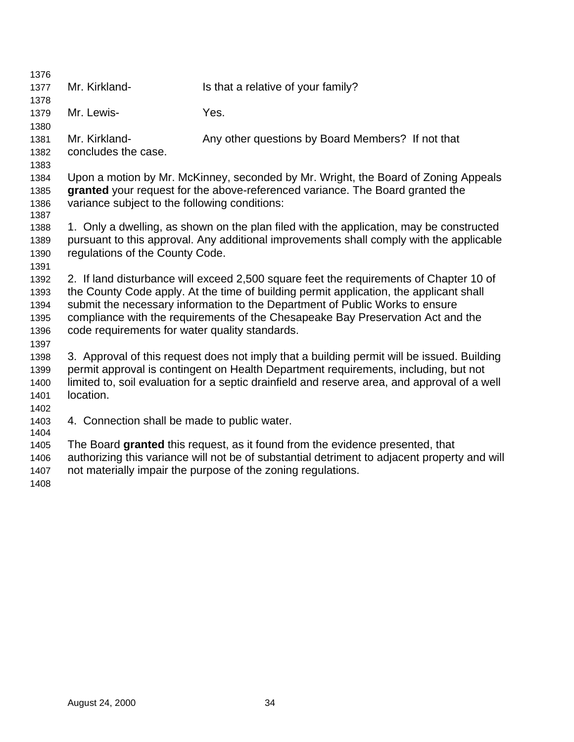| 1376                                                 |                                                |                                                                                                                                                                                                                                                                                                                                                     |
|------------------------------------------------------|------------------------------------------------|-----------------------------------------------------------------------------------------------------------------------------------------------------------------------------------------------------------------------------------------------------------------------------------------------------------------------------------------------------|
| 1377<br>1378                                         | Mr. Kirkland-                                  | Is that a relative of your family?                                                                                                                                                                                                                                                                                                                  |
| 1379                                                 | Mr. Lewis-                                     | Yes.                                                                                                                                                                                                                                                                                                                                                |
| 1380<br>1381                                         | Mr. Kirkland-                                  | Any other questions by Board Members? If not that                                                                                                                                                                                                                                                                                                   |
| 1382                                                 | concludes the case.                            |                                                                                                                                                                                                                                                                                                                                                     |
| 1383<br>1384                                         |                                                | Upon a motion by Mr. McKinney, seconded by Mr. Wright, the Board of Zoning Appeals                                                                                                                                                                                                                                                                  |
| 1385<br>1386                                         | variance subject to the following conditions:  | granted your request for the above-referenced variance. The Board granted the                                                                                                                                                                                                                                                                       |
| 1387<br>1388                                         |                                                | 1. Only a dwelling, as shown on the plan filed with the application, may be constructed                                                                                                                                                                                                                                                             |
| 1389<br>1390                                         | regulations of the County Code.                | pursuant to this approval. Any additional improvements shall comply with the applicable                                                                                                                                                                                                                                                             |
| 1391<br>1392<br>1393<br>1394<br>1395<br>1396<br>1397 | code requirements for water quality standards. | 2. If land disturbance will exceed 2,500 square feet the requirements of Chapter 10 of<br>the County Code apply. At the time of building permit application, the applicant shall<br>submit the necessary information to the Department of Public Works to ensure<br>compliance with the requirements of the Chesapeake Bay Preservation Act and the |
| 1398<br>1399<br>1400<br>1401<br>1402                 | location.                                      | 3. Approval of this request does not imply that a building permit will be issued. Building<br>permit approval is contingent on Health Department requirements, including, but not<br>limited to, soil evaluation for a septic drainfield and reserve area, and approval of a well                                                                   |
| 1403<br>1404                                         | 4. Connection shall be made to public water.   |                                                                                                                                                                                                                                                                                                                                                     |
| 1405<br>1406<br>1407<br>1408                         |                                                | The Board granted this request, as it found from the evidence presented, that<br>authorizing this variance will not be of substantial detriment to adjacent property and will<br>not materially impair the purpose of the zoning regulations.                                                                                                       |
|                                                      |                                                |                                                                                                                                                                                                                                                                                                                                                     |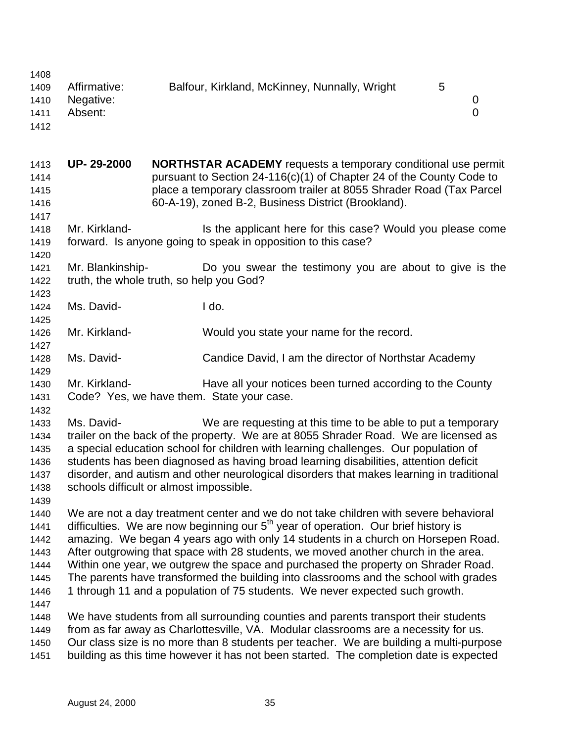| 1408         |                                          |                                           |                                                                                                                                                                            |   |   |
|--------------|------------------------------------------|-------------------------------------------|----------------------------------------------------------------------------------------------------------------------------------------------------------------------------|---|---|
| 1409         | Affirmative:                             |                                           | Balfour, Kirkland, McKinney, Nunnally, Wright                                                                                                                              | 5 |   |
| 1410         | Negative:                                |                                           |                                                                                                                                                                            |   | 0 |
| 1411         | Absent:                                  |                                           |                                                                                                                                                                            |   | 0 |
| 1412         |                                          |                                           |                                                                                                                                                                            |   |   |
|              |                                          |                                           |                                                                                                                                                                            |   |   |
| 1413         | UP-29-2000                               |                                           | <b>NORTHSTAR ACADEMY</b> requests a temporary conditional use permit                                                                                                       |   |   |
| 1414         |                                          |                                           | pursuant to Section 24-116(c)(1) of Chapter 24 of the County Code to                                                                                                       |   |   |
| 1415         |                                          |                                           | place a temporary classroom trailer at 8055 Shrader Road (Tax Parcel                                                                                                       |   |   |
| 1416         |                                          |                                           | 60-A-19), zoned B-2, Business District (Brookland).                                                                                                                        |   |   |
| 1417         |                                          |                                           |                                                                                                                                                                            |   |   |
| 1418         | Mr. Kirkland-                            |                                           | Is the applicant here for this case? Would you please come                                                                                                                 |   |   |
| 1419         |                                          |                                           | forward. Is anyone going to speak in opposition to this case?                                                                                                              |   |   |
| 1420         |                                          |                                           |                                                                                                                                                                            |   |   |
| 1421         | Mr. Blankinship-                         |                                           | Do you swear the testimony you are about to give is the                                                                                                                    |   |   |
| 1422         | truth, the whole truth, so help you God? |                                           |                                                                                                                                                                            |   |   |
| 1423         |                                          |                                           |                                                                                                                                                                            |   |   |
| 1424         | Ms. David-                               | I do.                                     |                                                                                                                                                                            |   |   |
| 1425         |                                          |                                           |                                                                                                                                                                            |   |   |
| 1426         | Mr. Kirkland-                            |                                           | Would you state your name for the record.                                                                                                                                  |   |   |
| 1427         |                                          |                                           |                                                                                                                                                                            |   |   |
| 1428         | Ms. David-                               |                                           | Candice David, I am the director of Northstar Academy                                                                                                                      |   |   |
| 1429         |                                          |                                           |                                                                                                                                                                            |   |   |
| 1430         | Mr. Kirkland-                            |                                           | Have all your notices been turned according to the County                                                                                                                  |   |   |
| 1431         |                                          | Code? Yes, we have them. State your case. |                                                                                                                                                                            |   |   |
| 1432         |                                          |                                           |                                                                                                                                                                            |   |   |
| 1433         | Ms. David-                               |                                           | We are requesting at this time to be able to put a temporary                                                                                                               |   |   |
| 1434         |                                          |                                           | trailer on the back of the property. We are at 8055 Shrader Road. We are licensed as                                                                                       |   |   |
| 1435         |                                          |                                           | a special education school for children with learning challenges. Our population of                                                                                        |   |   |
| 1436         |                                          |                                           | students has been diagnosed as having broad learning disabilities, attention deficit                                                                                       |   |   |
| 1437         |                                          |                                           | disorder, and autism and other neurological disorders that makes learning in traditional                                                                                   |   |   |
| 1438         | schools difficult or almost impossible.  |                                           |                                                                                                                                                                            |   |   |
| 1439         |                                          |                                           |                                                                                                                                                                            |   |   |
| 1440         |                                          |                                           | We are not a day treatment center and we do not take children with severe behavioral                                                                                       |   |   |
| 1441         |                                          |                                           | difficulties. We are now beginning our $5th$ year of operation. Our brief history is                                                                                       |   |   |
| 1442         |                                          |                                           | amazing. We began 4 years ago with only 14 students in a church on Horsepen Road.                                                                                          |   |   |
| 1443         |                                          |                                           | After outgrowing that space with 28 students, we moved another church in the area.                                                                                         |   |   |
| 1444         |                                          |                                           | Within one year, we outgrew the space and purchased the property on Shrader Road.                                                                                          |   |   |
| 1445         |                                          |                                           | The parents have transformed the building into classrooms and the school with grades                                                                                       |   |   |
| 1446         |                                          |                                           | 1 through 11 and a population of 75 students. We never expected such growth.                                                                                               |   |   |
| 1447         |                                          |                                           |                                                                                                                                                                            |   |   |
| 1448<br>1449 |                                          |                                           | We have students from all surrounding counties and parents transport their students<br>from as far away as Charlottesville, VA. Modular classrooms are a necessity for us. |   |   |
| 1450         |                                          |                                           | Our class size is no more than 8 students per teacher. We are building a multi-purpose                                                                                     |   |   |
| 1451         |                                          |                                           | building as this time however it has not been started. The completion date is expected                                                                                     |   |   |
|              |                                          |                                           |                                                                                                                                                                            |   |   |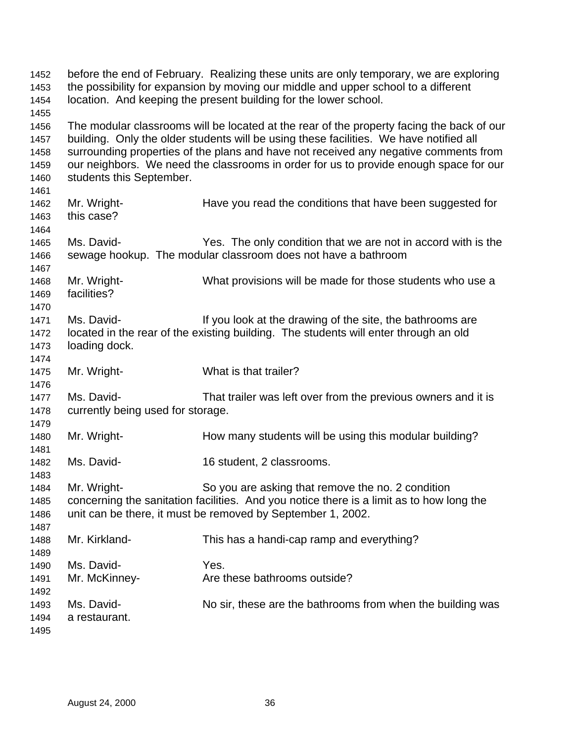before the end of February. Realizing these units are only temporary, we are exploring the possibility for expansion by moving our middle and upper school to a different location. And keeping the present building for the lower school. The modular classrooms will be located at the rear of the property facing the back of our building. Only the older students will be using these facilities. We have notified all surrounding properties of the plans and have not received any negative comments from our neighbors. We need the classrooms in order for us to provide enough space for our students this September. 1462 Mr. Wright- Have you read the conditions that have been suggested for this case? Ms. David- Yes. The only condition that we are not in accord with is the sewage hookup. The modular classroom does not have a bathroom Mr. Wright- What provisions will be made for those students who use a facilities? 1471 Ms. David- If you look at the drawing of the site, the bathrooms are located in the rear of the existing building. The students will enter through an old loading dock. Mr. Wright- What is that trailer? Ms. David- That trailer was left over from the previous owners and it is currently being used for storage. 1480 Mr. Wright- How many students will be using this modular building? Ms. David- 16 student, 2 classrooms. Mr. Wright- So you are asking that remove the no. 2 condition concerning the sanitation facilities. And you notice there is a limit as to how long the unit can be there, it must be removed by September 1, 2002. Mr. Kirkland- This has a handi-cap ramp and everything? Ms. David- Yes. 1491 Mr. McKinney-<br>Are these bathrooms outside? 1493 Ms. David- No sir, these are the bathrooms from when the building was a restaurant.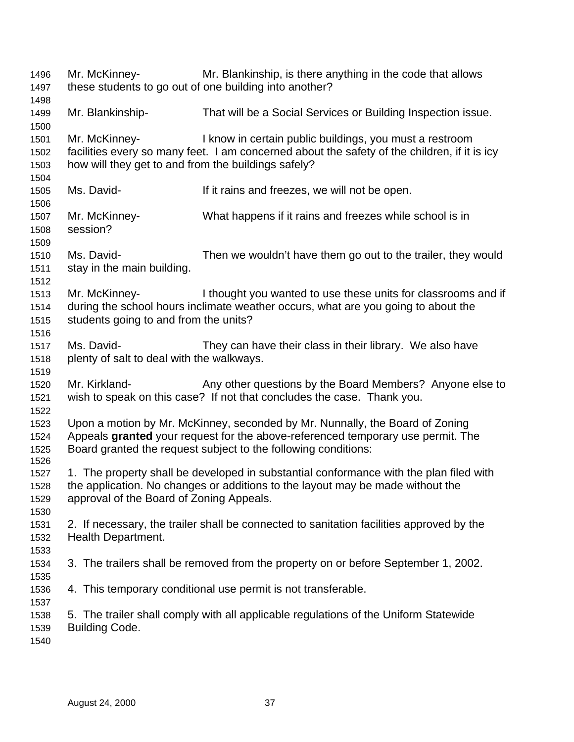Mr. McKinney- Mr. Blankinship, is there anything in the code that allows these students to go out of one building into another? Mr. Blankinship- That will be a Social Services or Building Inspection issue. Mr. McKinney- I know in certain public buildings, you must a restroom facilities every so many feet. I am concerned about the safety of the children, if it is icy how will they get to and from the buildings safely? Ms. David- If it rains and freezes, we will not be open. Mr. McKinney- What happens if it rains and freezes while school is in session? Ms. David- Then we wouldn't have them go out to the trailer, they would stay in the main building. Mr. McKinney- I thought you wanted to use these units for classrooms and if during the school hours inclimate weather occurs, what are you going to about the students going to and from the units? Ms. David- They can have their class in their library. We also have plenty of salt to deal with the walkways. 1520 Mr. Kirkland- Any other questions by the Board Members? Anyone else to wish to speak on this case? If not that concludes the case. Thank you. Upon a motion by Mr. McKinney, seconded by Mr. Nunnally, the Board of Zoning Appeals **granted** your request for the above-referenced temporary use permit. The Board granted the request subject to the following conditions: 1. The property shall be developed in substantial conformance with the plan filed with the application. No changes or additions to the layout may be made without the approval of the Board of Zoning Appeals. 2. If necessary, the trailer shall be connected to sanitation facilities approved by the Health Department. 3. The trailers shall be removed from the property on or before September 1, 2002. 4. This temporary conditional use permit is not transferable. 5. The trailer shall comply with all applicable regulations of the Uniform Statewide Building Code.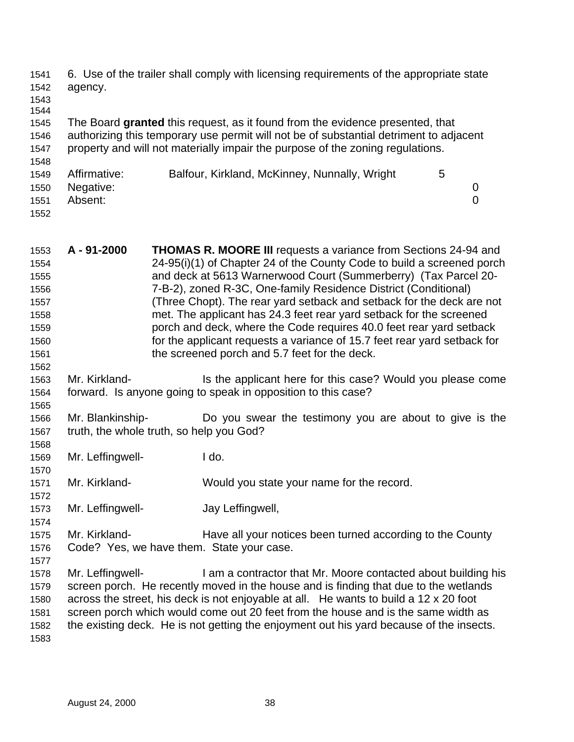6. Use of the trailer shall comply with licensing requirements of the appropriate state agency. 

 The Board **granted** this request, as it found from the evidence presented, that authorizing this temporary use permit will not be of substantial detriment to adjacent property and will not materially impair the purpose of the zoning regulations.

| 1548 |              |                                               |   |  |
|------|--------------|-----------------------------------------------|---|--|
| 1549 | Affirmative: | Balfour, Kirkland, McKinney, Nunnally, Wright | 5 |  |
| 1550 | Negative:    |                                               |   |  |
| 1551 | Absent:      |                                               |   |  |
| 1552 |              |                                               |   |  |

| 1553 | A-91-2000     | THOMAS R. MOORE III requests a variance from Sections 24-94 and          |
|------|---------------|--------------------------------------------------------------------------|
| 1554 |               | 24-95(i)(1) of Chapter 24 of the County Code to build a screened porch   |
| 1555 |               | and deck at 5613 Warnerwood Court (Summerberry) (Tax Parcel 20-          |
| 1556 |               | 7-B-2), zoned R-3C, One-family Residence District (Conditional)          |
| 1557 |               | (Three Chopt). The rear yard setback and setback for the deck are not    |
| 1558 |               | met. The applicant has 24.3 feet rear yard setback for the screened      |
| 1559 |               | porch and deck, where the Code requires 40.0 feet rear yard setback      |
| 1560 |               | for the applicant requests a variance of 15.7 feet rear yard setback for |
| 1561 |               | the screened porch and 5.7 feet for the deck.                            |
| 1562 |               |                                                                          |
| 1563 | Mr. Kirkland- | Is the applicant here for this case? Would you please come               |

- forward. Is anyone going to speak in opposition to this case?
- Mr. Blankinship- Do you swear the testimony you are about to give is the truth, the whole truth, so help you God?
- Mr. Leffingwell- I do.
- Mr. Kirkland- Would you state your name for the record.
- Mr. Leffingwell- Jay Leffingwell,
- Mr. Kirkland- Have all your notices been turned according to the County Code? Yes, we have them. State your case.
- Mr. Leffingwell- I am a contractor that Mr. Moore contacted about building his screen porch. He recently moved in the house and is finding that due to the wetlands
	- across the street, his deck is not enjoyable at all. He wants to build a 12 x 20 foot screen porch which would come out 20 feet from the house and is the same width as the existing deck. He is not getting the enjoyment out his yard because of the insects.
	-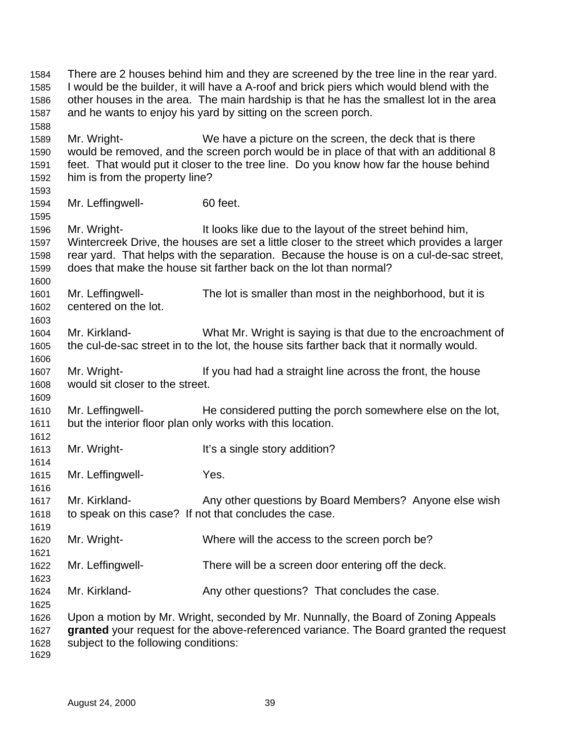There are 2 houses behind him and they are screened by the tree line in the rear yard. I would be the builder, it will have a A-roof and brick piers which would blend with the other houses in the area. The main hardship is that he has the smallest lot in the area and he wants to enjoy his yard by sitting on the screen porch. Mr. Wright- We have a picture on the screen, the deck that is there would be removed, and the screen porch would be in place of that with an additional 8 feet. That would put it closer to the tree line. Do you know how far the house behind him is from the property line? Mr. Leffingwell- 60 feet. Mr. Wright- It looks like due to the layout of the street behind him, Wintercreek Drive, the houses are set a little closer to the street which provides a larger rear yard. That helps with the separation. Because the house is on a cul-de-sac street, does that make the house sit farther back on the lot than normal? Mr. Leffingwell- The lot is smaller than most in the neighborhood, but it is centered on the lot. Mr. Kirkland- What Mr. Wright is saying is that due to the encroachment of the cul-de-sac street in to the lot, the house sits farther back that it normally would. Mr. Wright- If you had had a straight line across the front, the house would sit closer to the street. Mr. Leffingwell- He considered putting the porch somewhere else on the lot, but the interior floor plan only works with this location. 1613 Mr. Wright- It's a single story addition? Mr. Leffingwell- Yes. Mr. Kirkland- Any other questions by Board Members? Anyone else wish to speak on this case? If not that concludes the case. Mr. Wright- Where will the access to the screen porch be? Mr. Leffingwell- There will be a screen door entering off the deck. Mr. Kirkland- Any other questions? That concludes the case. Upon a motion by Mr. Wright, seconded by Mr. Nunnally, the Board of Zoning Appeals **granted** your request for the above-referenced variance. The Board granted the request subject to the following conditions: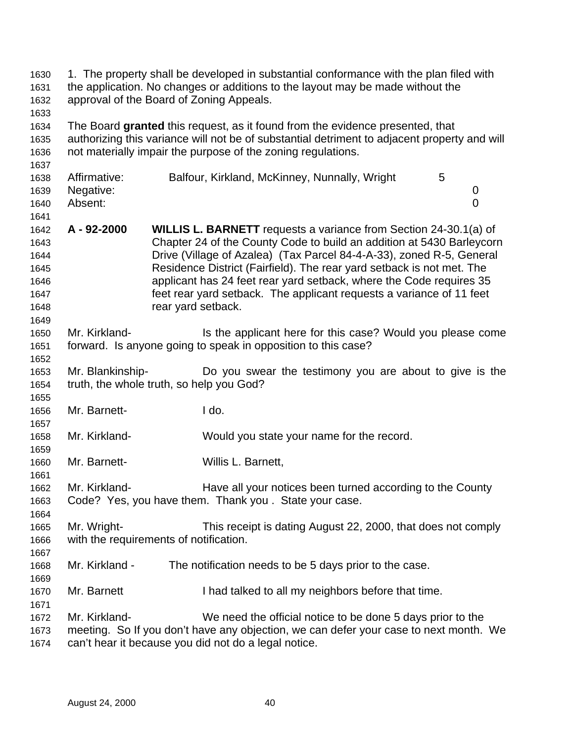| 1630<br>1631<br>1632<br>1633                                 | 1. The property shall be developed in substantial conformance with the plan filed with<br>the application. No changes or additions to the layout may be made without the<br>approval of the Board of Zoning Appeals.                          |                    |                                                                                                                                                                                                                                                                                                                                                                                                                                                  |  |  |   |                     |  |
|--------------------------------------------------------------|-----------------------------------------------------------------------------------------------------------------------------------------------------------------------------------------------------------------------------------------------|--------------------|--------------------------------------------------------------------------------------------------------------------------------------------------------------------------------------------------------------------------------------------------------------------------------------------------------------------------------------------------------------------------------------------------------------------------------------------------|--|--|---|---------------------|--|
| 1634<br>1635<br>1636<br>1637                                 | The Board granted this request, as it found from the evidence presented, that<br>authorizing this variance will not be of substantial detriment to adjacent property and will<br>not materially impair the purpose of the zoning regulations. |                    |                                                                                                                                                                                                                                                                                                                                                                                                                                                  |  |  |   |                     |  |
| 1638<br>1639<br>1640<br>1641                                 | Affirmative:<br>Negative:<br>Absent:                                                                                                                                                                                                          |                    | Balfour, Kirkland, McKinney, Nunnally, Wright                                                                                                                                                                                                                                                                                                                                                                                                    |  |  | 5 | 0<br>$\overline{0}$ |  |
| 1642<br>1643<br>1644<br>1645<br>1646<br>1647<br>1648<br>1649 | A - 92-2000                                                                                                                                                                                                                                   | rear yard setback. | <b>WILLIS L. BARNETT</b> requests a variance from Section 24-30.1(a) of<br>Chapter 24 of the County Code to build an addition at 5430 Barleycorn<br>Drive (Village of Azalea) (Tax Parcel 84-4-A-33), zoned R-5, General<br>Residence District (Fairfield). The rear yard setback is not met. The<br>applicant has 24 feet rear yard setback, where the Code requires 35<br>feet rear yard setback. The applicant requests a variance of 11 feet |  |  |   |                     |  |
| 1650<br>1651<br>1652                                         | Mr. Kirkland-<br>forward. Is anyone going to speak in opposition to this case?                                                                                                                                                                |                    | Is the applicant here for this case? Would you please come                                                                                                                                                                                                                                                                                                                                                                                       |  |  |   |                     |  |
| 1653<br>1654<br>1655                                         | Mr. Blankinship-<br>truth, the whole truth, so help you God?                                                                                                                                                                                  |                    | Do you swear the testimony you are about to give is the                                                                                                                                                                                                                                                                                                                                                                                          |  |  |   |                     |  |
| 1656<br>1657                                                 | Mr. Barnett-                                                                                                                                                                                                                                  |                    | I do.                                                                                                                                                                                                                                                                                                                                                                                                                                            |  |  |   |                     |  |
| 1658<br>1659                                                 | Mr. Kirkland-                                                                                                                                                                                                                                 |                    | Would you state your name for the record.                                                                                                                                                                                                                                                                                                                                                                                                        |  |  |   |                     |  |
| 1660<br>1661                                                 | Mr. Barnett-                                                                                                                                                                                                                                  |                    | Willis L. Barnett,                                                                                                                                                                                                                                                                                                                                                                                                                               |  |  |   |                     |  |
| 1662<br>1663<br>1664                                         | Mr. Kirkland-<br>Code? Yes, you have them. Thank you. State your case.                                                                                                                                                                        |                    | Have all your notices been turned according to the County                                                                                                                                                                                                                                                                                                                                                                                        |  |  |   |                     |  |
| 1665<br>1666<br>1667                                         | Mr. Wright-<br>with the requirements of notification.                                                                                                                                                                                         |                    | This receipt is dating August 22, 2000, that does not comply                                                                                                                                                                                                                                                                                                                                                                                     |  |  |   |                     |  |
| 1668<br>1669                                                 | Mr. Kirkland -                                                                                                                                                                                                                                |                    | The notification needs to be 5 days prior to the case.                                                                                                                                                                                                                                                                                                                                                                                           |  |  |   |                     |  |
| 1670<br>1671                                                 | Mr. Barnett                                                                                                                                                                                                                                   |                    | I had talked to all my neighbors before that time.                                                                                                                                                                                                                                                                                                                                                                                               |  |  |   |                     |  |
| 1672<br>1673<br>1674                                         | Mr. Kirkland-<br>meeting. So If you don't have any objection, we can defer your case to next month. We<br>can't hear it because you did not do a legal notice.                                                                                |                    | We need the official notice to be done 5 days prior to the                                                                                                                                                                                                                                                                                                                                                                                       |  |  |   |                     |  |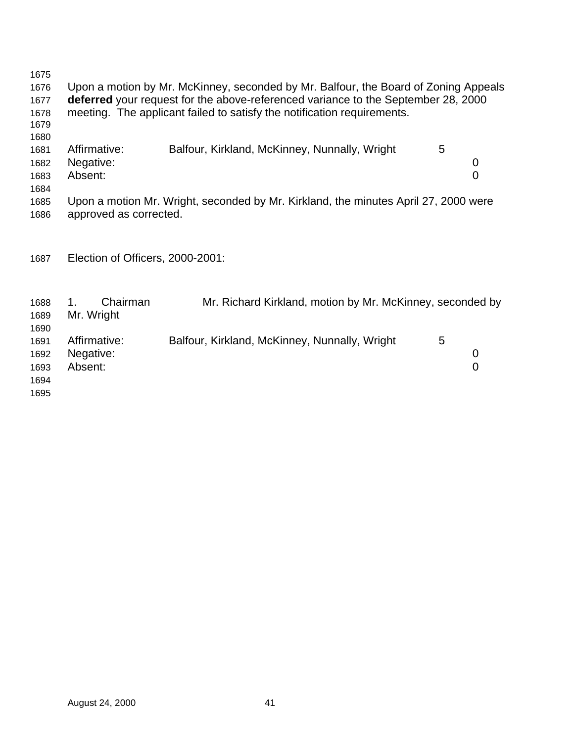Upon a motion by Mr. McKinney, seconded by Mr. Balfour, the Board of Zoning Appeals **deferred** your request for the above-referenced variance to the September 28, 2000 meeting. The applicant failed to satisfy the notification requirements. 1681 Affirmative: Balfour, Kirkland, McKinney, Nunnally, Wright 5 Negative: 0 Absent: 0 Upon a motion Mr. Wright, seconded by Mr. Kirkland, the minutes April 27, 2000 were approved as corrected. Election of Officers, 2000-2001: 1. Chairman Mr. Richard Kirkland, motion by Mr. McKinney, seconded by Mr. Wright 1691 Affirmative: Balfour, Kirkland, McKinney, Nunnally, Wright 5 Negative: 0 Absent: 0